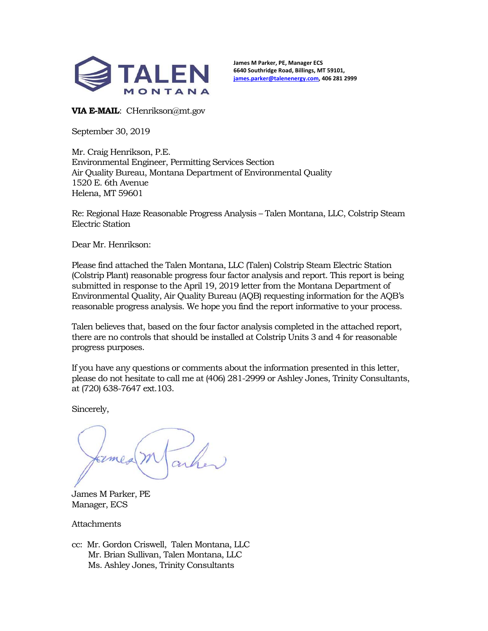

**James M Parker, PE, Manager ECS 6640 Southridge Road, Billings, MT 59101, james.parker@talenenergy.com, 406 281 2999** 

**VIA E-MAIL**: CHenrikson@mt.gov

September 30, 2019

Mr. Craig Henrikson, P.E. Environmental Engineer, Permitting Services Section Air Quality Bureau, Montana Department of Environmental Quality 1520 E. 6th Avenue Helena, MT 59601

Re: Regional Haze Reasonable Progress Analysis – Talen Montana, LLC, Colstrip Steam Electric Station

Dear Mr. Henrikson:

Please find attached the Talen Montana, LLC (Talen) Colstrip Steam Electric Station (Colstrip Plant) reasonable progress four factor analysis and report. This report is being submitted in response to the April 19, 2019 letter from the Montana Department of Environmental Quality, Air Quality Bureau (AQB) requesting information for the AQB's reasonable progress analysis. We hope you find the report informative to your process.

Talen believes that, based on the four factor analysis completed in the attached report, there are no controls that should be installed at Colstrip Units 3 and 4 for reasonable progress purposes.

If you have any questions or comments about the information presented in this letter, please do not hesitate to call me at (406) 281-2999 or Ashley Jones, Trinity Consultants, at (720) 638-7647 ext.103.

Sincerely,

James M Parker, PE Manager, ECS

**Attachments** 

cc: Mr. Gordon Criswell, Talen Montana, LLC Mr. Brian Sullivan, Talen Montana, LLC Ms. Ashley Jones, Trinity Consultants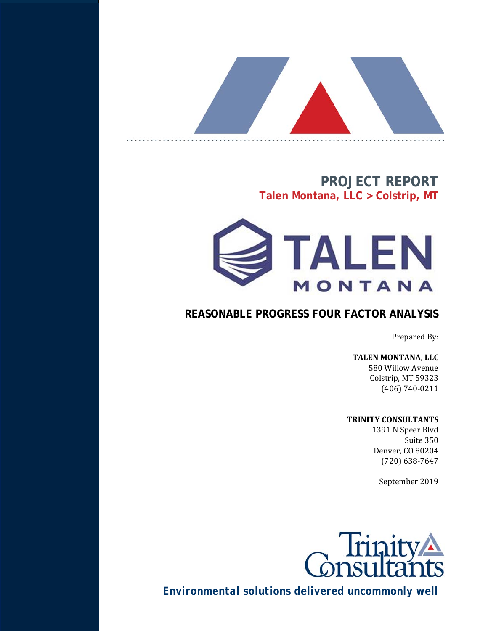

# **PROJECT REPORT Talen Montana, LLC > Colstrip, MT**



# **REASONABLE PROGRESS FOUR FACTOR ANALYSIS**

Prepared By:

### **TALEN MONTANA, LLC**

580 Willow Avenue Colstrip, MT 59323 (406) 740-0211

### **TRINITY CONSULTANTS**

1391 N Speer Blvd Suite 350 Denver, CO 80204 (720) 638-7647

September 2019



*Environmental solutions delivered uncommonly well*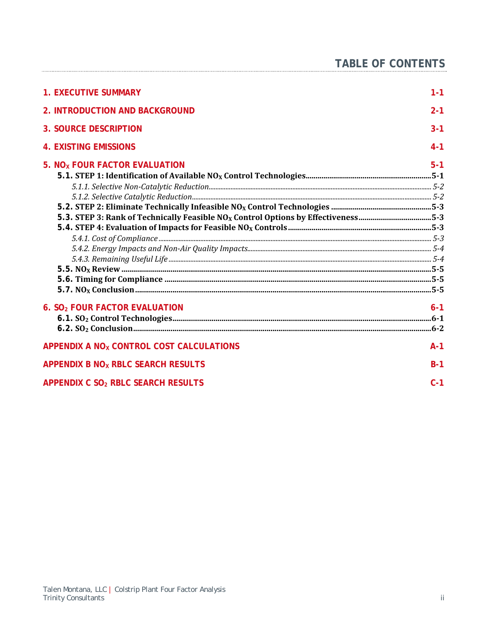| <b>1. EXECUTIVE SUMMARY</b>                                                                   | $1 - 1$ |
|-----------------------------------------------------------------------------------------------|---------|
| 2. INTRODUCTION AND BACKGROUND                                                                | $2 - 1$ |
| <b>3. SOURCE DESCRIPTION</b>                                                                  | $3 - 1$ |
| <b>4. EXISTING EMISSIONS</b>                                                                  | $4 - 1$ |
| 5. NO <sub>x</sub> FOUR FACTOR EVALUATION                                                     | $5 - 1$ |
|                                                                                               |         |
|                                                                                               |         |
|                                                                                               |         |
|                                                                                               |         |
| 5-3. STEP 3: Rank of Technically Feasible NO <sub>x</sub> Control Options by Effectiveness5-3 |         |
|                                                                                               |         |
|                                                                                               |         |
|                                                                                               |         |
|                                                                                               |         |
|                                                                                               |         |
|                                                                                               |         |
|                                                                                               |         |
| 6. SO <sub>2</sub> FOUR FACTOR EVALUATION                                                     | $6 - 1$ |
|                                                                                               |         |
|                                                                                               |         |
| APPENDIX A NO <sub>x</sub> CONTROL COST CALCULATIONS                                          | $A-1$   |
| APPENDIX B NO <sub>x</sub> RBLC SEARCH RESULTS                                                | $B-1$   |
| APPENDIX C SO <sub>2</sub> RBLC SEARCH RESULTS                                                | $C-1$   |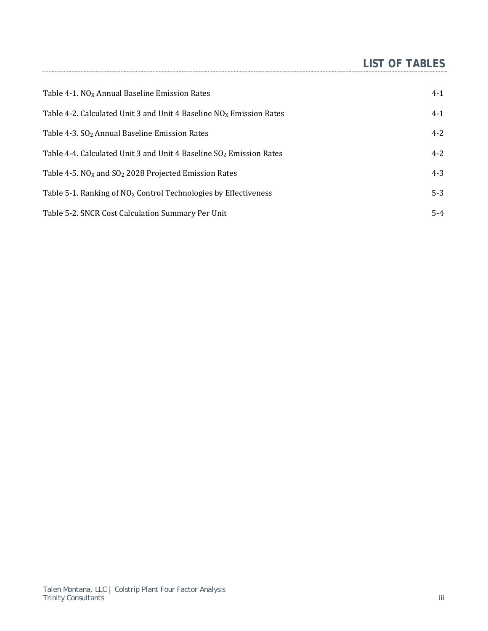# **LIST OF TABLES**

| Table 4-1. NO <sub>x</sub> Annual Baseline Emission Rates                       | $4-1$   |
|---------------------------------------------------------------------------------|---------|
| Table 4-2. Calculated Unit 3 and Unit 4 Baseline $NOx$ Emission Rates           | $4-1$   |
| Table 4-3. SO <sub>2</sub> Annual Baseline Emission Rates                       | $4 - 2$ |
| Table 4-4. Calculated Unit 3 and Unit 4 Baseline SO <sub>2</sub> Emission Rates | $4 - 2$ |
| Table 4-5. $NOX$ and $SO2$ 2028 Projected Emission Rates                        | $4 - 3$ |
| Table 5-1. Ranking of $NOX$ Control Technologies by Effectiveness               | $5-3$   |
| Table 5-2. SNCR Cost Calculation Summary Per Unit                               | $5-4$   |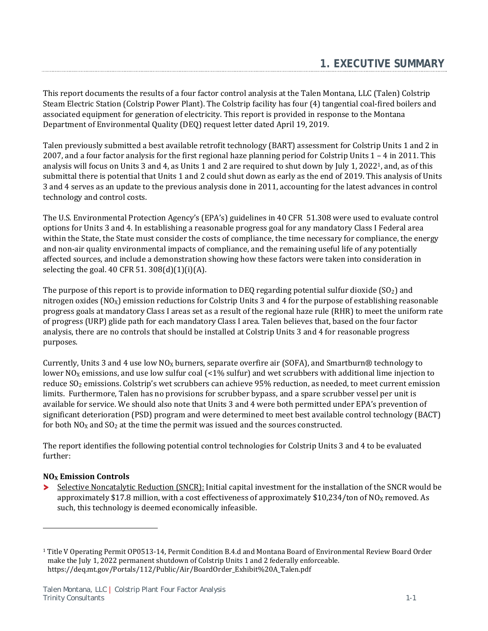This report documents the results of a four factor control analysis at the Talen Montana, LLC (Talen) Colstrip Steam Electric Station (Colstrip Power Plant). The Colstrip facility has four (4) tangential coal-fired boilers and associated equipment for generation of electricity. This report is provided in response to the Montana Department of Environmental Quality (DEQ) request letter dated April 19, 2019.

Talen previously submitted a best available retrofit technology (BART) assessment for Colstrip Units 1 and 2 in 2007, and a four factor analysis for the first regional haze planning period for Colstrip Units 1 – 4 in 2011. This analysis will focus on Units 3 and 4, as Units 1 and 2 are required to shut down by July 1, 20221, and, as of this submittal there is potential that Units 1 and 2 could shut down as early as the end of 2019. This analysis of Units 3 and 4 serves as an update to the previous analysis done in 2011, accounting for the latest advances in control technology and control costs.

The U.S. Environmental Protection Agency's (EPA's) guidelines in 40 CFR 51.308 were used to evaluate control options for Units 3 and 4. In establishing a reasonable progress goal for any mandatory Class I Federal area within the State, the State must consider the costs of compliance, the time necessary for compliance, the energy and non-air quality environmental impacts of compliance, and the remaining useful life of any potentially affected sources, and include a demonstration showing how these factors were taken into consideration in selecting the goal. 40 CFR 51.  $308(d)(1)(i)(A)$ .

The purpose of this report is to provide information to DEQ regarding potential sulfur dioxide ( $SO<sub>2</sub>$ ) and nitrogen oxides ( $NO<sub>X</sub>$ ) emission reductions for Colstrip Units 3 and 4 for the purpose of establishing reasonable progress goals at mandatory Class I areas set as a result of the regional haze rule (RHR) to meet the uniform rate of progress (URP) glide path for each mandatory Class I area. Talen believes that, based on the four factor analysis, there are no controls that should be installed at Colstrip Units 3 and 4 for reasonable progress purposes.

Currently, Units 3 and 4 use low  $NO<sub>X</sub>$  burners, separate overfire air (SOFA), and Smartburn® technology to lower NO<sub>X</sub> emissions, and use low sulfur coal  $($ <1% sulfur) and wet scrubbers with additional lime injection to reduce SO<sub>2</sub> emissions. Colstrip's wet scrubbers can achieve 95% reduction, as needed, to meet current emission limits. Furthermore, Talen has no provisions for scrubber bypass, and a spare scrubber vessel per unit is available for service. We should also note that Units 3 and 4 were both permitted under EPA's prevention of significant deterioration (PSD) program and were determined to meet best available control technology (BACT) for both  $NO<sub>X</sub>$  and  $SO<sub>2</sub>$  at the time the permit was issued and the sources constructed.

The report identifies the following potential control technologies for Colstrip Units 3 and 4 to be evaluated further:

### **NOX Emission Controls**

<u>.</u>

⋗ Selective Noncatalytic Reduction (SNCR): Initial capital investment for the installation of the SNCR would be approximately \$17.8 million, with a cost effectiveness of approximately \$10,234/ton of  $NQ_X$  removed. As such, this technology is deemed economically infeasible.

<sup>1</sup> Title V Operating Permit OP0513-14, Permit Condition B.4.d and Montana Board of Environmental Review Board Order make the July 1, 2022 permanent shutdown of Colstrip Units 1 and 2 federally enforceable. https://deq.mt.gov/Portals/112/Public/Air/BoardOrder\_Exhibit%20A\_Talen.pdf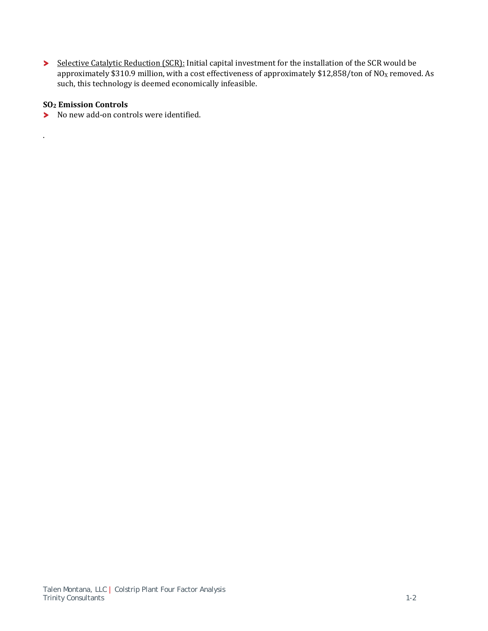Selective Catalytic Reduction (SCR): Initial capital investment for the installation of the SCR would be approximately \$310.9 million, with a cost effectiveness of approximately \$12,858/ton of  $NO<sub>X</sub>$  removed. As such, this technology is deemed economically infeasible.

### **SO2 Emission Controls**

.

No new add-on controls were identified.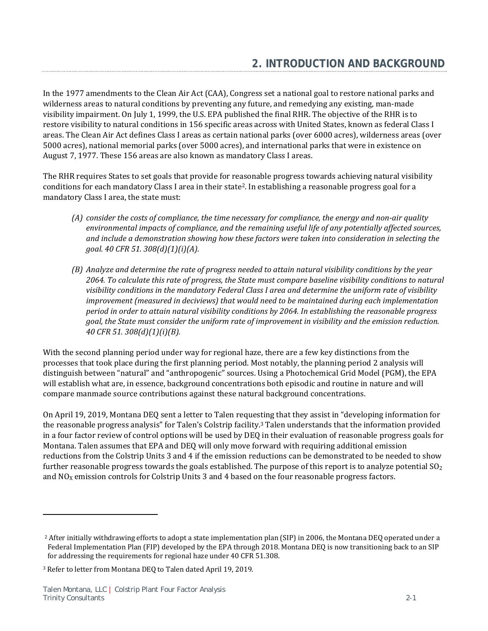In the 1977 amendments to the Clean Air Act (CAA), Congress set a national goal to restore national parks and wilderness areas to natural conditions by preventing any future, and remedying any existing, man-made visibility impairment. On July 1, 1999, the U.S. EPA published the final RHR. The objective of the RHR is to restore visibility to natural conditions in 156 specific areas across with United States, known as federal Class I areas. The Clean Air Act defines Class I areas as certain national parks (over 6000 acres), wilderness areas (over 5000 acres), national memorial parks (over 5000 acres), and international parks that were in existence on August 7, 1977. These 156 areas are also known as mandatory Class I areas.

The RHR requires States to set goals that provide for reasonable progress towards achieving natural visibility conditions for each mandatory Class I area in their state2. In establishing a reasonable progress goal for a mandatory Class I area, the state must:

- (A) consider the costs of compliance, the time necessary for compliance, the energy and non-air quality *environmental impacts of compliance, and the remaining useful life of any potentially affected sources, and include a demonstration showing how these factors were taken into consideration in selecting the goal. 40 CFR 51. 308(d)(1)(i)(A).*
- *(B) Analyze and determine the rate of progress needed to attain natural visibility conditions by the year 2064. To calculate this rate of progress, the State must compare baseline visibility conditions to natural visibility conditions in the mandatory Federal Class I area and determine the uniform rate of visibility improvement (measured in deciviews) that would need to be maintained during each implementation period in order to attain natural visibility conditions by 2064. In establishing the reasonable progress goal, the State must consider the uniform rate of improvement in visibility and the emission reduction. 40 CFR 51. 308(d)(1)(i)(B).*

With the second planning period under way for regional haze, there are a few key distinctions from the processes that took place during the first planning period. Most notably, the planning period 2 analysis will distinguish between "natural" and "anthropogenic" sources. Using a Photochemical Grid Model (PGM), the EPA will establish what are, in essence, background concentrations both episodic and routine in nature and will compare manmade source contributions against these natural background concentrations.

On April 19, 2019, Montana DEQ sent a letter to Talen requesting that they assist in "developing information for the reasonable progress analysis" for Talen's Colstrip facility. 3 Talen understands that the information provided in a four factor review of control options will be used by DEQ in their evaluation of reasonable progress goals for Montana. Talen assumes that EPA and DEQ will only move forward with requiring additional emission reductions from the Colstrip Units 3 and 4 if the emission reductions can be demonstrated to be needed to show further reasonable progress towards the goals established. The purpose of this report is to analyze potential  $SO_2$ and  $NO<sub>X</sub>$  emission controls for Colstrip Units 3 and 4 based on the four reasonable progress factors.

<u>.</u>

<sup>2</sup> After initially withdrawing efforts to adopt a state implementation plan (SIP) in 2006, the Montana DEQ operated under a Federal Implementation Plan (FIP) developed by the EPA through 2018. Montana DEQ is now transitioning back to an SIP for addressing the requirements for regional haze under 40 CFR 51.308.

<sup>3</sup> Refer to letter from Montana DEQ to Talen dated April 19, 2019.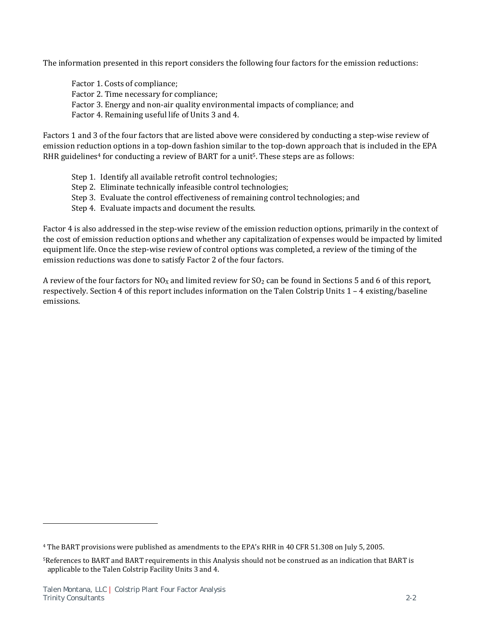The information presented in this report considers the following four factors for the emission reductions:

Factor 1. Costs of compliance; Factor 2. Time necessary for compliance; Factor 3. Energy and non-air quality environmental impacts of compliance; and Factor 4. Remaining useful life of Units 3 and 4.

Factors 1 and 3 of the four factors that are listed above were considered by conducting a step-wise review of emission reduction options in a top-down fashion similar to the top-down approach that is included in the EPA RHR guidelines<sup>4</sup> for conducting a review of BART for a unit<sup>5</sup>. These steps are as follows:

- Step 1. Identify all available retrofit control technologies;
- Step 2. Eliminate technically infeasible control technologies;
- Step 3. Evaluate the control effectiveness of remaining control technologies; and
- Step 4. Evaluate impacts and document the results.

Factor 4 is also addressed in the step-wise review of the emission reduction options, primarily in the context of the cost of emission reduction options and whether any capitalization of expenses would be impacted by limited equipment life. Once the step-wise review of control options was completed, a review of the timing of the emission reductions was done to satisfy Factor 2 of the four factors.

A review of the four factors for  $NO<sub>X</sub>$  and limited review for  $SO<sub>2</sub>$  can be found in Sections 5 and 6 of this report, respectively. Section 4 of this report includes information on the Talen Colstrip Units 1 – 4 existing/baseline emissions.

l

<sup>4</sup> The BART provisions were published as amendments to the EPA's RHR in 40 CFR 51.308 on July 5, 2005.

<sup>5</sup>References to BART and BART requirements in this Analysis should not be construed as an indication that BART is applicable to the Talen Colstrip Facility Units 3 and 4.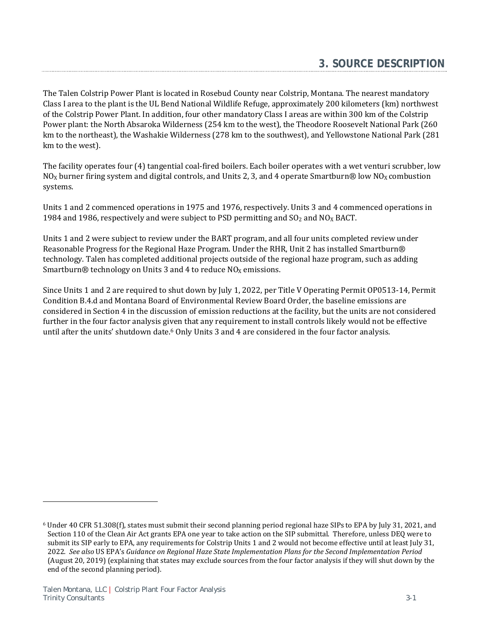The Talen Colstrip Power Plant is located in Rosebud County near Colstrip, Montana. The nearest mandatory Class I area to the plant is the UL Bend National Wildlife Refuge, approximately 200 kilometers (km) northwest of the Colstrip Power Plant. In addition, four other mandatory Class I areas are within 300 km of the Colstrip Power plant: the North Absaroka Wilderness (254 km to the west), the Theodore Roosevelt National Park (260 km to the northeast), the Washakie Wilderness (278 km to the southwest), and Yellowstone National Park (281 km to the west).

The facility operates four (4) tangential coal-fired boilers. Each boiler operates with a wet venturi scrubber, low NO<sub>x</sub> burner firing system and digital controls, and Units 2, 3, and 4 operate Smartburn® low NO<sub>x</sub> combustion systems.

Units 1 and 2 commenced operations in 1975 and 1976, respectively. Units 3 and 4 commenced operations in 1984 and 1986, respectively and were subject to PSD permitting and  $SO<sub>2</sub>$  and  $NO<sub>X</sub>$  BACT.

Units 1 and 2 were subject to review under the BART program, and all four units completed review under Reasonable Progress for the Regional Haze Program. Under the RHR, Unit 2 has installed Smartburn® technology. Talen has completed additional projects outside of the regional haze program, such as adding Smartburn $\circledR$  technology on Units 3 and 4 to reduce NO<sub>X</sub> emissions.

Since Units 1 and 2 are required to shut down by July 1, 2022, per Title V Operating Permit OP0513-14, Permit Condition B.4.d and Montana Board of Environmental Review Board Order, the baseline emissions are considered in Section 4 in the discussion of emission reductions at the facility, but the units are not considered further in the four factor analysis given that any requirement to install controls likely would not be effective until after the units' shutdown date.<sup>6</sup> Only Units 3 and 4 are considered in the four factor analysis.

 $\overline{a}$ 

<sup>6</sup> Under 40 CFR 51.308(f), states must submit their second planning period regional haze SIPs to EPA by July 31, 2021, and Section 110 of the Clean Air Act grants EPA one year to take action on the SIP submittal. Therefore, unless DEQ were to submit its SIP early to EPA, any requirements for Colstrip Units 1 and 2 would not become effective until at least July 31, 2022. *See also* US EPA's *Guidance on Regional Haze State Implementation Plans for the Second Implementation Period* (August 20, 2019) (explaining that states may exclude sources from the four factor analysis if they will shut down by the end of the second planning period).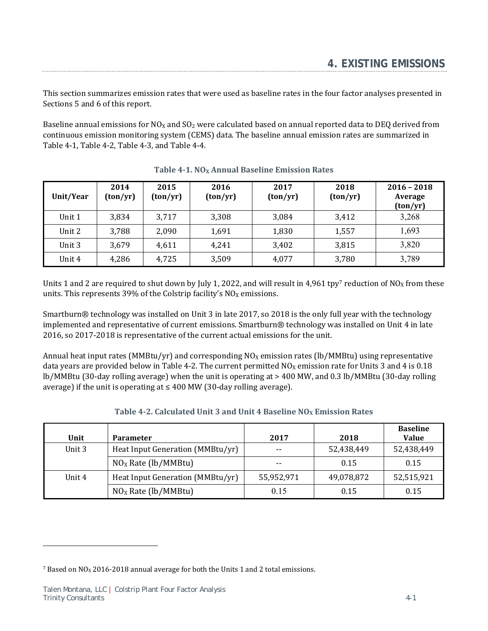This section summarizes emission rates that were used as baseline rates in the four factor analyses presented in Sections 5 and 6 of this report.

Baseline annual emissions for  $NO<sub>X</sub>$  and  $SO<sub>2</sub>$  were calculated based on annual reported data to DEQ derived from continuous emission monitoring system (CEMS) data. The baseline annual emission rates are summarized in Table 4-1, Table 4-2, Table 4-3, and Table 4-4.

| Unit/Year | 2014<br>(ton/yr) | 2015<br>$\frac{\tan(yr)}{r}$ | 2016<br>(ton/yr) | 2017<br>(ton/yr) | 2018<br>(ton/yr) | $2016 - 2018$<br>Average<br>(ton/yr) |
|-----------|------------------|------------------------------|------------------|------------------|------------------|--------------------------------------|
| Unit 1    | 3,834            | 3,717                        | 3,308            | 3,084            | 3,412            | 3,268                                |
| Unit 2    | 3,788            | 2,090                        | 1,691            | 1,830            | 1,557            | 1,693                                |
| Unit 3    | 3,679            | 4,611                        | 4,241            | 3,402            | 3,815            | 3,820                                |
| Unit 4    | 4,286            | 4,725                        | 3,509            | 4,077            | 3,780            | 3,789                                |

Units 1 and 2 are required to shut down by July 1, 2022, and will result in 4,961 tpy7 reduction of NO<sub>X</sub> from these units. This represents 39% of the Colstrip facility's  $NO<sub>X</sub>$  emissions.

Smartburn® technology was installed on Unit 3 in late 2017, so 2018 is the only full year with the technology implemented and representative of current emissions. Smartburn® technology was installed on Unit 4 in late 2016, so 2017-2018 is representative of the current actual emissions for the unit.

Annual heat input rates (MMBtu/yr) and corresponding  $NO<sub>X</sub>$  emission rates (lb/MMBtu) using representative data years are provided below in Table 4-2. The current permitted  $NQ_X$  emission rate for Units 3 and 4 is 0.18 lb/MMBtu (30-day rolling average) when the unit is operating at > 400 MW, and 0.3 lb/MMBtu (30-day rolling average) if the unit is operating at  $\leq 400$  MW (30-day rolling average).

| Unit   | <b>Parameter</b>                 | 2017       | 2018       | <b>Baseline</b><br><b>Value</b> |
|--------|----------------------------------|------------|------------|---------------------------------|
| Unit 3 | Heat Input Generation (MMBtu/yr) | $- -$      | 52,438,449 | 52,438,449                      |
|        | $NOX$ Rate (lb/MMBtu)            | $- -$      | 0.15       | 0.15                            |
| Unit 4 | Heat Input Generation (MMBtu/yr) | 55,952,971 | 49,078,872 | 52,515,921                      |
|        | $NOX$ Rate (lb/MMBtu)            | 0.15       | 0.15       | 0.15                            |

### **Table 4-2. Calculated Unit 3 and Unit 4 Baseline**  $NO<sub>X</sub>$  **Emission Rates**

l

 $7$  Based on NO<sub>X</sub> 2016-2018 annual average for both the Units 1 and 2 total emissions.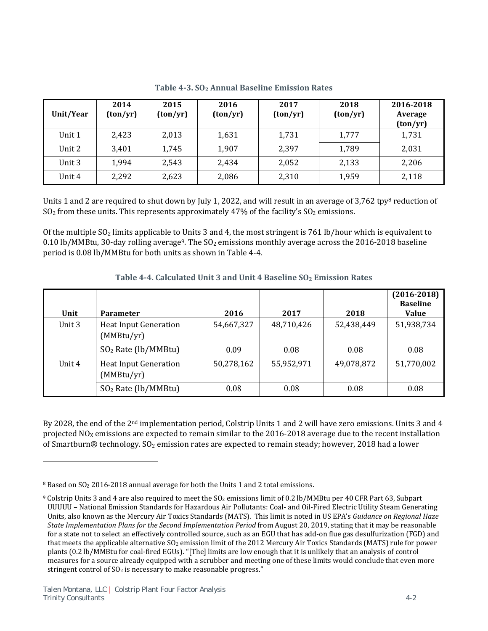| Unit/Year | 2014<br>(ton/yr) | 2015<br>(ton/yr) | 2016<br>(ton/yr) | 2017<br>(ton/yr) | 2018<br>(ton/yr) | 2016-2018<br>Average<br>(ton/yr) |
|-----------|------------------|------------------|------------------|------------------|------------------|----------------------------------|
| Unit 1    | 2,423            | 2,013            | 1,631            | 1,731            | 1,777            | 1,731                            |
| Unit 2    | 3,401            | 1,745            | 1,907            | 2,397            | 1,789            | 2,031                            |
| Unit 3    | 1,994            | 2,543            | 2,434            | 2,052            | 2,133            | 2,206                            |
| Unit 4    | 2,292            | 2,623            | 2,086            | 2,310            | 1,959            | 2,118                            |

**Table 4‐3. SO2 Annual Baseline Emission Rates**

Units 1 and 2 are required to shut down by July 1, 2022, and will result in an average of 3,762 tpy<sup>8</sup> reduction of  $SO<sub>2</sub>$  from these units. This represents approximately 47% of the facility's  $SO<sub>2</sub>$  emissions.

Of the multiple SO2 limits applicable to Units 3 and 4, the most stringent is 761 lb/hour which is equivalent to 0.10 lb/MMBtu, 30-day rolling average<sup>9</sup>. The  $SO<sub>2</sub>$  emissions monthly average across the 2016-2018 baseline period is 0.08 lb/MMBtu for both units as shown in Table 4-4.

| Unit   | <b>Parameter</b>                           | 2016       | 2017       | 2018       | $(2016 - 2018)$<br><b>Baseline</b><br><b>Value</b> |
|--------|--------------------------------------------|------------|------------|------------|----------------------------------------------------|
| Unit 3 | <b>Heat Input Generation</b><br>(MMBtu/yr) | 54,667,327 | 48,710,426 | 52,438,449 | 51,938,734                                         |
|        | $SO2$ Rate (lb/MMBtu)                      | 0.09       | 0.08       | 0.08       | 0.08                                               |
| Unit 4 | <b>Heat Input Generation</b><br>(MMBtu/yr) | 50,278,162 | 55,952,971 | 49,078,872 | 51,770,002                                         |
|        | $SO2$ Rate (lb/MMBtu)                      | 0.08       | 0.08       | 0.08       | 0.08                                               |

**Table 4‐4. Calculated Unit 3 and Unit 4 Baseline SO2 Emission Rates** 

By 2028, the end of the 2nd implementation period, Colstrip Units 1 and 2 will have zero emissions. Units 3 and 4 projected  $NO<sub>X</sub>$  emissions are expected to remain similar to the 2016-2018 average due to the recent installation of Smartburn® technology.  $SO_2$  emission rates are expected to remain steady; however, 2018 had a lower

<u>.</u>

<sup>8</sup> Based on SO2 2016-2018 annual average for both the Units 1 and 2 total emissions.

<sup>9</sup> Colstrip Units 3 and 4 are also required to meet the SO2 emissions limit of 0.2 lb/MMBtu per 40 CFR Part 63, Subpart UUUUU – National Emission Standards for Hazardous Air Pollutants: Coal- and Oil-Fired Electric Utility Steam Generating Units, also known as the Mercury Air Toxics Standards (MATS). This limit is noted in US EPA's *Guidance on Regional Haze State Implementation Plans for the Second Implementation Period* from August 20, 2019, stating that it may be reasonable for a state not to select an effectively controlled source, such as an EGU that has add-on flue gas desulfurization (FGD) and that meets the applicable alternative  $SO_2$  emission limit of the 2012 Mercury Air Toxics Standards (MATS) rule for power plants (0.2 lb/MMBtu for coal-fired EGUs). "[The] limits are low enough that it is unlikely that an analysis of control measures for a source already equipped with a scrubber and meeting one of these limits would conclude that even more stringent control of  $SO<sub>2</sub>$  is necessary to make reasonable progress."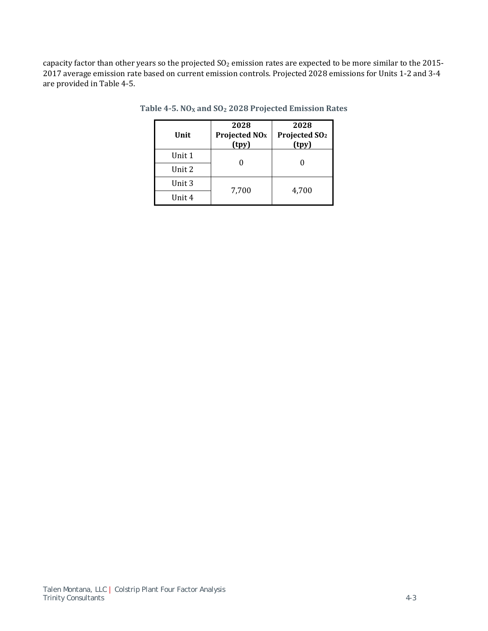capacity factor than other years so the projected  $SO_2$  emission rates are expected to be more similar to the 2015-2017 average emission rate based on current emission controls. Projected 2028 emissions for Units 1-2 and 3-4 are provided in Table 4-5.

| Unit   | 2028<br>Projected NO <sub>x</sub><br>(tpy) | 2028<br>Projected SO <sub>2</sub><br>(tpy) |
|--------|--------------------------------------------|--------------------------------------------|
| Unit 1 |                                            |                                            |
| Unit 2 |                                            |                                            |
| Unit 3 | 7,700                                      | 4,700                                      |
| Unit 4 |                                            |                                            |

**Table 4‐5. NOX and SO2 2028 Projected Emission Rates**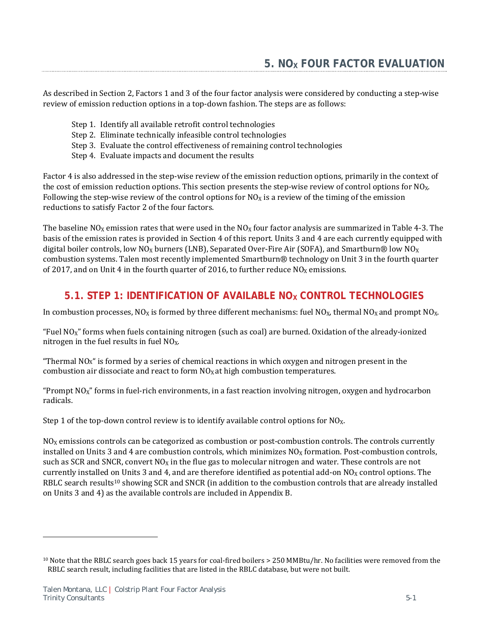As described in Section 2, Factors 1 and 3 of the four factor analysis were considered by conducting a step-wise review of emission reduction options in a top-down fashion. The steps are as follows:

- Step 1. Identify all available retrofit control technologies
- Step 2. Eliminate technically infeasible control technologies
- Step 3. Evaluate the control effectiveness of remaining control technologies
- Step 4. Evaluate impacts and document the results

Factor 4 is also addressed in the step-wise review of the emission reduction options, primarily in the context of the cost of emission reduction options. This section presents the step-wise review of control options for  $NQ_x$ . Following the step-wise review of the control options for  $NO_X$  is a review of the timing of the emission reductions to satisfy Factor 2 of the four factors.

The baseline NO<sub>X</sub> emission rates that were used in the NO<sub>X</sub> four factor analysis are summarized in Table 4-3. The basis of the emission rates is provided in Section 4 of this report. Units 3 and 4 are each currently equipped with digital boiler controls, low NO<sub>X</sub> burners (LNB), Separated Over-Fire Air (SOFA), and Smartburn® low NO<sub>X</sub> combustion systems. Talen most recently implemented Smartburn® technology on Unit 3 in the fourth quarter of 2017, and on Unit 4 in the fourth quarter of 2016, to further reduce  $NQ_X$  emissions.

# **5.1. STEP 1: IDENTIFICATION OF AVAILABLE NOX CONTROL TECHNOLOGIES**

In combustion processes,  $NQ_X$  is formed by three different mechanisms: fuel  $NQ_X$ , thermal  $NQ_X$  and prompt  $NQ_X$ .

"Fuel NOX" forms when fuels containing nitrogen (such as coal) are burned. Oxidation of the already-ionized nitrogen in the fuel results in fuel  $NO<sub>X</sub>$ .

"Thermal NOX" is formed by a series of chemical reactions in which oxygen and nitrogen present in the combustion air dissociate and react to form  $NO<sub>X</sub>$  at high combustion temperatures.

"Prompt  $NO<sub>X</sub>$ " forms in fuel-rich environments, in a fast reaction involving nitrogen, oxygen and hydrocarbon radicals.

Step 1 of the top-down control review is to identify available control options for  $NQ_x$ .

 $N_{\rm OX}$  emissions controls can be categorized as combustion or post-combustion controls. The controls currently installed on Units 3 and 4 are combustion controls, which minimizes  $NO<sub>X</sub>$  formation. Post-combustion controls, such as SCR and SNCR, convert  $NQ<sub>X</sub>$  in the flue gas to molecular nitrogen and water. These controls are not currently installed on Units 3 and 4, and are therefore identified as potential add-on  $NO<sub>X</sub>$  control options. The RBLC search results<sup>10</sup> showing SCR and SNCR (in addition to the combustion controls that are already installed on Units 3 and 4) as the available controls are included in Appendix B.

l

<sup>10</sup> Note that the RBLC search goes back 15 years for coal-fired boilers > 250 MMBtu/hr. No facilities were removed from the RBLC search result, including facilities that are listed in the RBLC database, but were not built.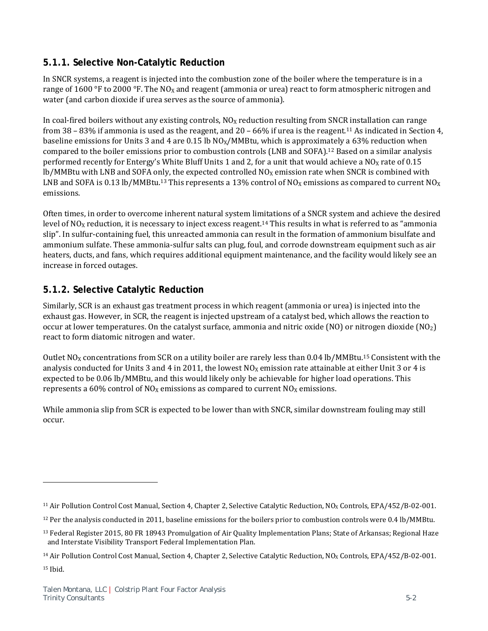# **5.1.1. Selective Non-Catalytic Reduction**

In SNCR systems, a reagent is injected into the combustion zone of the boiler where the temperature is in a range of 1600 °F to 2000 °F. The NO<sub>X</sub> and reagent (ammonia or urea) react to form atmospheric nitrogen and water (and carbon dioxide if urea serves as the source of ammonia).

In coal-fired boilers without any existing controls,  $NO<sub>X</sub>$  reduction resulting from SNCR installation can range from 38 – 83% if ammonia is used as the reagent, and 20 – 66% if urea is the reagent.<sup>11</sup> As indicated in Section 4, baseline emissions for Units 3 and 4 are 0.15 lb  $NO<sub>X</sub>/MMBtu$ , which is approximately a 63% reduction when compared to the boiler emissions prior to combustion controls (LNB and SOFA).12 Based on a similar analysis performed recently for Entergy's White Bluff Units 1 and 2, for a unit that would achieve a  $N_{\rm X}$  rate of 0.15  $lb/MM$ Btu with LNB and SOFA only, the expected controlled NO<sub>x</sub> emission rate when SNCR is combined with LNB and SOFA is 0.13 lb/MMBtu.<sup>13</sup> This represents a 13% control of NO<sub>X</sub> emissions as compared to current NO<sub>X</sub> emissions.

Often times, in order to overcome inherent natural system limitations of a SNCR system and achieve the desired level of  $NO<sub>X</sub>$  reduction, it is necessary to inject excess reagent.<sup>14</sup> This results in what is referred to as "ammonia slip". In sulfur-containing fuel, this unreacted ammonia can result in the formation of ammonium bisulfate and ammonium sulfate. These ammonia-sulfur salts can plug, foul, and corrode downstream equipment such as air heaters, ducts, and fans, which requires additional equipment maintenance, and the facility would likely see an increase in forced outages.

# **5.1.2. Selective Catalytic Reduction**

Similarly, SCR is an exhaust gas treatment process in which reagent (ammonia or urea) is injected into the exhaust gas. However, in SCR, the reagent is injected upstream of a catalyst bed, which allows the reaction to occur at lower temperatures. On the catalyst surface, ammonia and nitric oxide (NO) or nitrogen dioxide (NO2) react to form diatomic nitrogen and water.

Outlet  $NO<sub>X</sub>$  concentrations from SCR on a utility boiler are rarely less than 0.04 lb/MMBtu.<sup>15</sup> Consistent with the analysis conducted for Units 3 and 4 in 2011, the lowest  $NO<sub>X</sub>$  emission rate attainable at either Unit 3 or 4 is expected to be 0.06 lb/MMBtu, and this would likely only be achievable for higher load operations. This represents a 60% control of  $NO<sub>X</sub>$  emissions as compared to current  $NO<sub>X</sub>$  emissions.

While ammonia slip from SCR is expected to be lower than with SNCR, similar downstream fouling may still occur.

 $\overline{a}$ 

<sup>&</sup>lt;sup>11</sup> Air Pollution Control Cost Manual, Section 4, Chapter 2, Selective Catalytic Reduction, NO<sub>x</sub> Controls, EPA/452/B-02-001.

<sup>&</sup>lt;sup>12</sup> Per the analysis conducted in 2011, baseline emissions for the boilers prior to combustion controls were 0.4 lb/MMBtu.

<sup>13</sup> Federal Register 2015, 80 FR 18943 Promulgation of Air Quality Implementation Plans; State of Arkansas; Regional Haze and Interstate Visibility Transport Federal Implementation Plan.

<sup>&</sup>lt;sup>14</sup> Air Pollution Control Cost Manual, Section 4, Chapter 2, Selective Catalytic Reduction,  $N0<sub>X</sub>$  Controls, EPA/452/B-02-001.

<sup>15</sup> Ibid.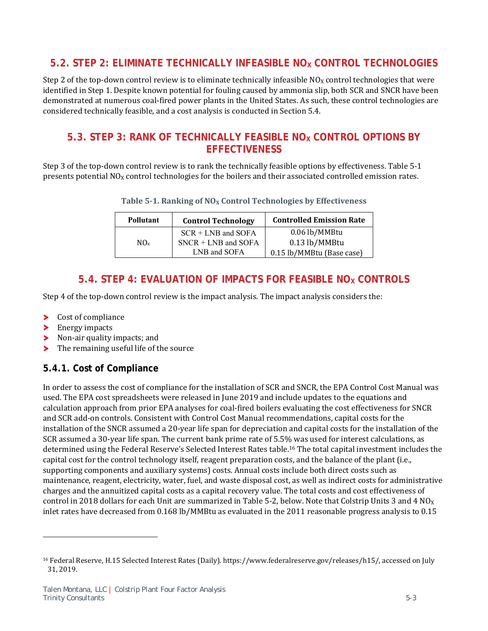# **5.2. STEP 2: ELIMINATE TECHNICALLY INFEASIBLE NOX CONTROL TECHNOLOGIES**

Step 2 of the top-down control review is to eliminate technically infeasible  $NO<sub>X</sub>$  control technologies that were identified in Step 1. Despite known potential for fouling caused by ammonia slip, both SCR and SNCR have been demonstrated at numerous coal-fired power plants in the United States. As such, these control technologies are considered technically feasible, and a cost analysis is conducted in Section 5.4.

# 5.3. **STEP 3: RANK OF TECHNICALLY FEASIBLE NO<sub>X</sub> CONTROL OPTIONS BY EFFECTIVENESS**

Step 3 of the top-down control review is to rank the technically feasible options by effectiveness. Table 5-1 presents potential  $NO<sub>X</sub>$  control technologies for the boilers and their associated controlled emission rates.

| Table 5-1. Ranking of $NOX$ Control Technologies by Effectiveness |  |  |  |
|-------------------------------------------------------------------|--|--|--|
|-------------------------------------------------------------------|--|--|--|

| <b>Pollutant</b> | <b>Control Technology</b>             | <b>Controlled Emission Rate</b>            |
|------------------|---------------------------------------|--------------------------------------------|
|                  | $SCR + LNB$ and $SOFA$                | 0.06 lb/MMBtu                              |
| $NO_{x}$         | $SNCR + LNB$ and SOFA<br>LNB and SOFA | 0.13 lb/MMBtu<br>0.15 lb/MMBtu (Base case) |
|                  |                                       |                                            |

# **5.4. STEP 4: EVALUATION OF IMPACTS FOR FEASIBLE NOX CONTROLS**

Step 4 of the top-down control review is the impact analysis. The impact analysis considers the:

- Cost of compliance ≻
- ⋗ Energy impacts

l

- У Non-air quality impacts; and
- The remaining useful life of the source У

# **5.4.1. Cost of Compliance**

In order to assess the cost of compliance for the installation of SCR and SNCR, the EPA Control Cost Manual was used. The EPA cost spreadsheets were released in June 2019 and include updates to the equations and calculation approach from prior EPA analyses for coal-fired boilers evaluating the cost effectiveness for SNCR and SCR add-on controls. Consistent with Control Cost Manual recommendations, capital costs for the installation of the SNCR assumed a 20-year life span for depreciation and capital costs for the installation of the SCR assumed a 30-year life span. The current bank prime rate of 5.5% was used for interest calculations, as determined using the Federal Reserve's Selected Interest Rates table.16 The total capital investment includes the capital cost for the control technology itself, reagent preparation costs, and the balance of the plant (i.e., supporting components and auxiliary systems) costs. Annual costs include both direct costs such as maintenance, reagent, electricity, water, fuel, and waste disposal cost, as well as indirect costs for administrative charges and the annuitized capital costs as a capital recovery value. The total costs and cost effectiveness of control in 2018 dollars for each Unit are summarized in Table 5-2, below. Note that Colstrip Units 3 and 4  $NO_X$ inlet rates have decreased from 0.168 lb/MMBtu as evaluated in the 2011 reasonable progress analysis to 0.15

<sup>16</sup> Federal Reserve, H.15 Selected Interest Rates (Daily). https://www.federalreserve.gov/releases/h15/, accessed on July 31, 2019.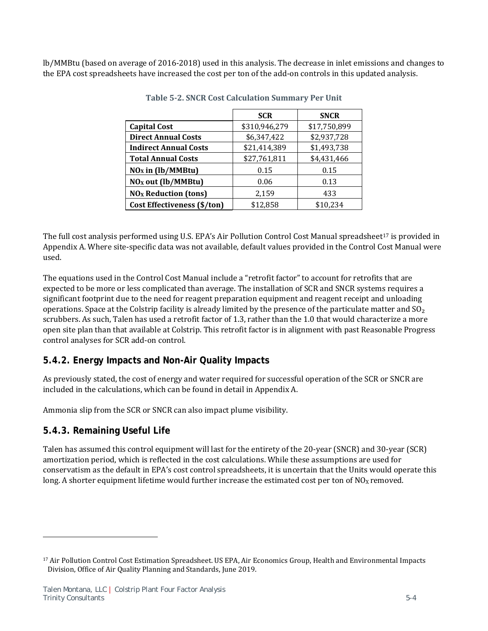lb/MMBtu (based on average of 2016-2018) used in this analysis. The decrease in inlet emissions and changes to the EPA cost spreadsheets have increased the cost per ton of the add-on controls in this updated analysis.

|                                | <b>SCR</b>    | <b>SNCR</b>  |
|--------------------------------|---------------|--------------|
| <b>Capital Cost</b>            | \$310,946,279 | \$17,750,899 |
| <b>Direct Annual Costs</b>     | \$6,347,422   | \$2,937,728  |
| <b>Indirect Annual Costs</b>   | \$21,414,389  | \$1,493,738  |
| <b>Total Annual Costs</b>      | \$27,761,811  | \$4,431,466  |
| $NOx$ in (lb/MMBtu)            | 0.15          | 0.15         |
| NO <sub>x</sub> out (lb/MMBtu) | 0.06          | 0.13         |
| $NOx$ Reduction (tons)         | 2,159         | 433          |
| Cost Effectiveness (\$/ton)    | \$12,858      | \$10,234     |

**Table 5‐2. SNCR Cost Calculation Summary Per Unit**

The full cost analysis performed using U.S. EPA's Air Pollution Control Cost Manual spreadsheet<sup>17</sup> is provided in Appendix A. Where site-specific data was not available, default values provided in the Control Cost Manual were used.

The equations used in the Control Cost Manual include a "retrofit factor" to account for retrofits that are expected to be more or less complicated than average. The installation of SCR and SNCR systems requires a significant footprint due to the need for reagent preparation equipment and reagent receipt and unloading operations. Space at the Colstrip facility is already limited by the presence of the particulate matter and  $SO<sub>2</sub>$ scrubbers. As such, Talen has used a retrofit factor of 1.3, rather than the 1.0 that would characterize a more open site plan than that available at Colstrip. This retrofit factor is in alignment with past Reasonable Progress control analyses for SCR add-on control.

# **5.4.2. Energy Impacts and Non-Air Quality Impacts**

As previously stated, the cost of energy and water required for successful operation of the SCR or SNCR are included in the calculations, which can be found in detail in Appendix A.

Ammonia slip from the SCR or SNCR can also impact plume visibility.

# **5.4.3. Remaining Useful Life**

<u>.</u>

Talen has assumed this control equipment will last for the entirety of the 20-year (SNCR) and 30-year (SCR) amortization period, which is reflected in the cost calculations. While these assumptions are used for conservatism as the default in EPA's cost control spreadsheets, it is uncertain that the Units would operate this long. A shorter equipment lifetime would further increase the estimated cost per ton of  $NO<sub>x</sub>$  removed.

<sup>17</sup> Air Pollution Control Cost Estimation Spreadsheet. US EPA, Air Economics Group, Health and Environmental Impacts Division, Office of Air Quality Planning and Standards, June 2019.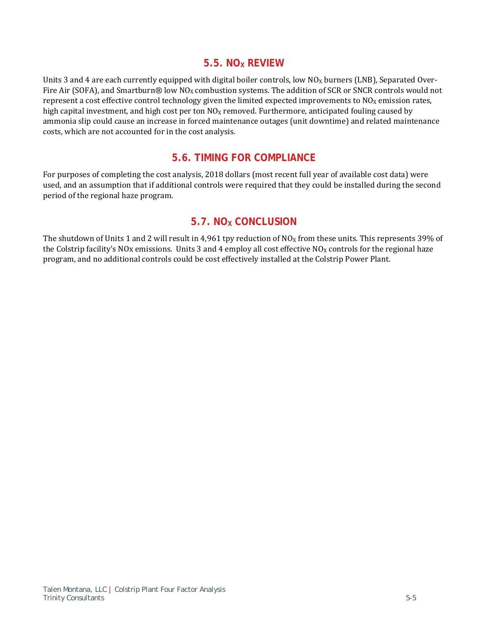## **5.5. NOX REVIEW**

Units 3 and 4 are each currently equipped with digital boiler controls, low  $N_{\rm OX}$  burners (LNB), Separated Over-Fire Air (SOFA), and Smartburn® low  $NO<sub>X</sub>$  combustion systems. The addition of SCR or SNCR controls would not represent a cost effective control technology given the limited expected improvements to  $N0<sub>X</sub>$  emission rates, high capital investment, and high cost per ton  $N_{\text{Ox}}$  removed. Furthermore, anticipated fouling caused by ammonia slip could cause an increase in forced maintenance outages (unit downtime) and related maintenance costs, which are not accounted for in the cost analysis.

# **5.6. TIMING FOR COMPLIANCE**

For purposes of completing the cost analysis, 2018 dollars (most recent full year of available cost data) were used, and an assumption that if additional controls were required that they could be installed during the second period of the regional haze program.

# **5.7. NO<sub>x</sub> CONCLUSION**

The shutdown of Units 1 and 2 will result in 4,961 tpy reduction of  $NO<sub>X</sub>$  from these units. This represents 39% of the Colstrip facility's NOx emissions. Units 3 and 4 employ all cost effective  $NO<sub>X</sub>$  controls for the regional haze program, and no additional controls could be cost effectively installed at the Colstrip Power Plant.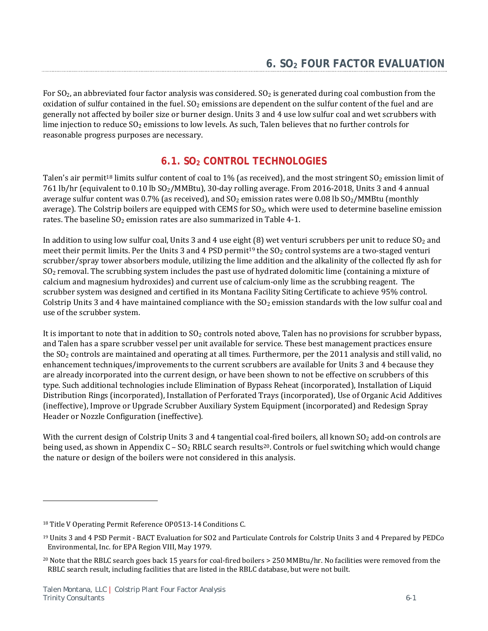For  $SO_2$ , an abbreviated four factor analysis was considered.  $SO_2$  is generated during coal combustion from the oxidation of sulfur contained in the fuel.  $SO_2$  emissions are dependent on the sulfur content of the fuel and are generally not affected by boiler size or burner design. Units 3 and 4 use low sulfur coal and wet scrubbers with lime injection to reduce  $SO_2$  emissions to low levels. As such, Talen believes that no further controls for reasonable progress purposes are necessary.

# **6.1. SO2 CONTROL TECHNOLOGIES**

Talen's air permit<sup>18</sup> limits sulfur content of coal to 1% (as received), and the most stringent  $SO_2$  emission limit of 761 lb/hr (equivalent to 0.10 lb SO<sub>2</sub>/MMBtu), 30-day rolling average. From 2016-2018, Units 3 and 4 annual average sulfur content was 0.7% (as received), and  $SO_2$  emission rates were 0.08 lb  $SO_2/MMB$ tu (monthly average). The Colstrip boilers are equipped with CEMS for  $SO_2$ , which were used to determine baseline emission rates. The baseline  $SO_2$  emission rates are also summarized in Table 4-1.

In addition to using low sulfur coal, Units 3 and 4 use eight  $(8)$  wet venturi scrubbers per unit to reduce  $SO<sub>2</sub>$  and meet their permit limits. Per the Units 3 and 4 PSD permit<sup>19</sup> the  $SO<sub>2</sub>$  control systems are a two-staged venturi scrubber/spray tower absorbers module, utilizing the lime addition and the alkalinity of the collected fly ash for  $SO<sub>2</sub>$  removal. The scrubbing system includes the past use of hydrated dolomitic lime (containing a mixture of calcium and magnesium hydroxides) and current use of calcium-only lime as the scrubbing reagent. The scrubber system was designed and certified in its Montana Facility Siting Certificate to achieve 95% control. Colstrip Units 3 and 4 have maintained compliance with the  $SO<sub>2</sub>$  emission standards with the low sulfur coal and use of the scrubber system.

It is important to note that in addition to  $SO<sub>2</sub>$  controls noted above, Talen has no provisions for scrubber bypass, and Talen has a spare scrubber vessel per unit available for service. These best management practices ensure the SO<sub>2</sub> controls are maintained and operating at all times. Furthermore, per the 2011 analysis and still valid, no enhancement techniques/improvements to the current scrubbers are available for Units 3 and 4 because they are already incorporated into the current design, or have been shown to not be effective on scrubbers of this type. Such additional technologies include Elimination of Bypass Reheat (incorporated), Installation of Liquid Distribution Rings (incorporated), Installation of Perforated Trays (incorporated), Use of Organic Acid Additives (ineffective), Improve or Upgrade Scrubber Auxiliary System Equipment (incorporated) and Redesign Spray Header or Nozzle Configuration (ineffective).

With the current design of Colstrip Units 3 and 4 tangential coal-fired boilers, all known  $SO_2$  add-on controls are being used, as shown in Appendix  $C - SO_2$  RBLC search results<sup>20</sup>. Controls or fuel switching which would change the nature or design of the boilers were not considered in this analysis.

<u>.</u>

<sup>18</sup> Title V Operating Permit Reference OP0513-14 Conditions C.

<sup>19</sup> Units 3 and 4 PSD Permit - BACT Evaluation for SO2 and Particulate Controls for Colstrip Units 3 and 4 Prepared by PEDCo Environmental, Inc. for EPA Region VIII, May 1979.

<sup>&</sup>lt;sup>20</sup> Note that the RBLC search goes back 15 years for coal-fired boilers > 250 MMBtu/hr. No facilities were removed from the RBLC search result, including facilities that are listed in the RBLC database, but were not built.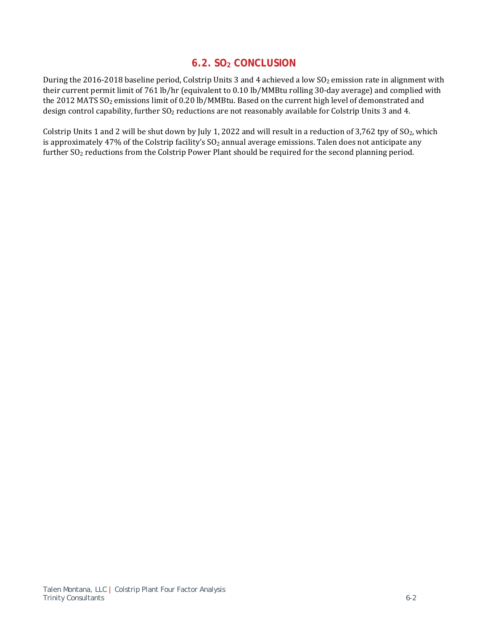# **6.2. SO2 CONCLUSION**

During the 2016-2018 baseline period, Colstrip Units 3 and 4 achieved a low  $SO<sub>2</sub>$  emission rate in alignment with their current permit limit of 761 lb/hr (equivalent to 0.10 lb/MMBtu rolling 30-day average) and complied with the 2012 MATS SO<sub>2</sub> emissions limit of 0.20 lb/MMBtu. Based on the current high level of demonstrated and design control capability, further SO<sub>2</sub> reductions are not reasonably available for Colstrip Units 3 and 4.

Colstrip Units 1 and 2 will be shut down by July 1, 2022 and will result in a reduction of 3,762 tpy of  $SO_2$ , which is approximately 47% of the Colstrip facility's  $SO<sub>2</sub>$  annual average emissions. Talen does not anticipate any further SO<sub>2</sub> reductions from the Colstrip Power Plant should be required for the second planning period.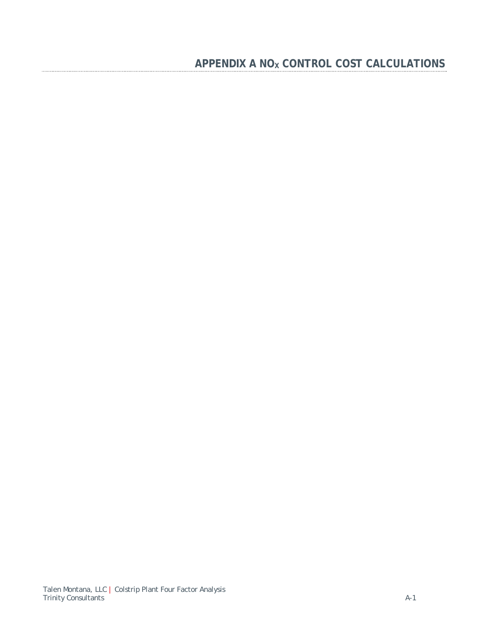# APPENDIX A NO<sub>X</sub> CONTROL COST CALCULATIONS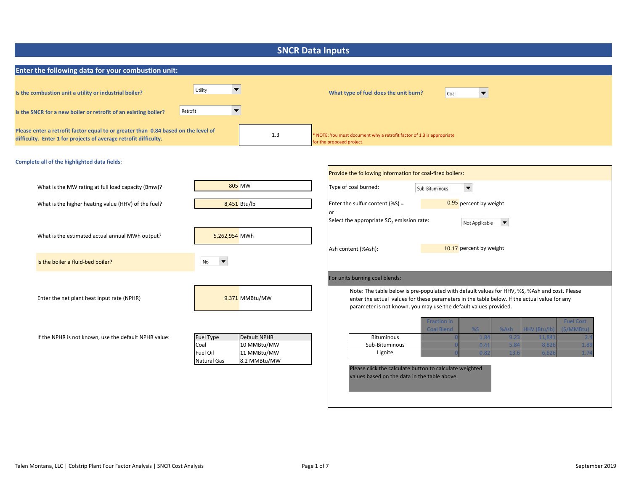| <b>SNCR Data Inputs</b>                                                                                                                                |                                                                                                            |                                                                                                                                                                                                                                                                               |  |
|--------------------------------------------------------------------------------------------------------------------------------------------------------|------------------------------------------------------------------------------------------------------------|-------------------------------------------------------------------------------------------------------------------------------------------------------------------------------------------------------------------------------------------------------------------------------|--|
| Enter the following data for your combustion unit:                                                                                                     |                                                                                                            |                                                                                                                                                                                                                                                                               |  |
| Is the combustion unit a utility or industrial boiler?                                                                                                 | Utility<br>$\blacktriangledown$                                                                            | What type of fuel does the unit burn?<br>$\overline{\phantom{a}}$<br>Coal                                                                                                                                                                                                     |  |
| Is the SNCR for a new boiler or retrofit of an existing boiler?                                                                                        | $\blacktriangledown$<br>Retrofit                                                                           |                                                                                                                                                                                                                                                                               |  |
| Please enter a retrofit factor equal to or greater than 0.84 based on the level of<br>difficulty. Enter 1 for projects of average retrofit difficulty. | 1.3                                                                                                        | NOTE: You must document why a retrofit factor of 1.3 is appropriate<br>for the proposed project.                                                                                                                                                                              |  |
| Complete all of the highlighted data fields:                                                                                                           |                                                                                                            |                                                                                                                                                                                                                                                                               |  |
|                                                                                                                                                        |                                                                                                            | Provide the following information for coal-fired boilers:                                                                                                                                                                                                                     |  |
| What is the MW rating at full load capacity (Bmw)?                                                                                                     | 805 MW                                                                                                     | Type of coal burned:<br>$\blacktriangledown$<br>Sub-Bituminous                                                                                                                                                                                                                |  |
| What is the higher heating value (HHV) of the fuel?                                                                                                    | 8,451 Btu/lb                                                                                               | 0.95 percent by weight<br>Enter the sulfur content (%S) =                                                                                                                                                                                                                     |  |
|                                                                                                                                                        |                                                                                                            | or<br>Select the appropriate SO <sub>2</sub> emission rate:<br>$\blacktriangledown$                                                                                                                                                                                           |  |
| What is the estimated actual annual MWh output?                                                                                                        | 5,262,954 MWh                                                                                              | Not Applicable<br>10.17 percent by weight<br>Ash content (%Ash):                                                                                                                                                                                                              |  |
| Is the boiler a fluid-bed boiler?                                                                                                                      | $\blacktriangledown$<br>No                                                                                 |                                                                                                                                                                                                                                                                               |  |
|                                                                                                                                                        |                                                                                                            | For units burning coal blends:                                                                                                                                                                                                                                                |  |
| Enter the net plant heat input rate (NPHR)                                                                                                             | 9.371 MMBtu/MW                                                                                             | Note: The table below is pre-populated with default values for HHV, %S, %Ash and cost. Please<br>enter the actual values for these parameters in the table below. If the actual value for any<br>parameter is not known, you may use the default values provided.             |  |
| If the NPHR is not known, use the default NPHR value:                                                                                                  | Default NPHR<br>Fuel Type<br>Coal<br>10 MMBtu/MW<br>Fuel Oil<br>11 MMBtu/MW<br>8.2 MMBtu/MW<br>Natural Gas | <b>Fraction in</b><br><b>Fuel Cost</b><br><b>Coal Blend</b><br>%S<br>HHV (Btu/lb)<br>(\$/MMBtu)<br>%Ash<br><b>Bituminous</b><br>9.2<br>11,84<br>Sub-Bituminous<br>5.8<br>8,82<br>0.4<br>Lignite<br>$\Omega$<br>6.6<br>Please click the calculate button to calculate weighted |  |
|                                                                                                                                                        |                                                                                                            | values based on the data in the table above.                                                                                                                                                                                                                                  |  |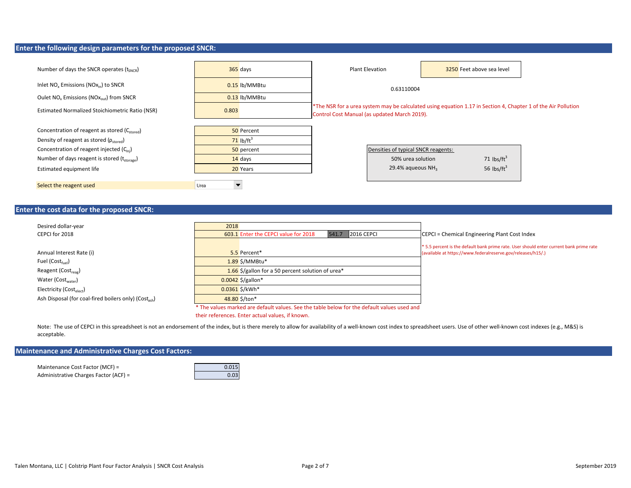#### **Enter the following design parameters for the proposed SNCR:**

| Number of days the SNCR operates $(t_{SNCR})$                             |       | $365$ days              | <b>Plant Elevation</b>                       |                                     | 3250 Feet above sea level |                      |                                                                                                               |
|---------------------------------------------------------------------------|-------|-------------------------|----------------------------------------------|-------------------------------------|---------------------------|----------------------|---------------------------------------------------------------------------------------------------------------|
| Inlet $NO_x$ Emissions ( $NOx_{in}$ ) to SNCR                             |       | 0.15 lb/MMBtu           |                                              | 0.63110004                          |                           |                      |                                                                                                               |
| Oulet NO <sub>x</sub> Emissions (NO <sub>X<sub>out</sub>) from SNCR</sub> |       | 0.13 lb/MMBtu           |                                              |                                     |                           |                      |                                                                                                               |
| Estimated Normalized Stoichiometric Ratio (NSR)                           | 0.803 |                         | Control Cost Manual (as updated March 2019). |                                     |                           |                      | *The NSR for a urea system may be calculated using equation 1.17 in Section 4, Chapter 1 of the Air Pollution |
|                                                                           |       |                         |                                              |                                     |                           |                      |                                                                                                               |
| Concentration of reagent as stored (C <sub>stored</sub> )                 |       | 50 Percent              |                                              |                                     |                           |                      |                                                                                                               |
| Density of reagent as stored ( $\rho_{\rm stored}$ )                      |       | $71$ lb/ft <sup>3</sup> |                                              |                                     |                           |                      |                                                                                                               |
| Concentration of reagent injected $(C_{\text{ini}})$                      |       | 50 percent              |                                              | Densities of typical SNCR reagents: |                           |                      |                                                                                                               |
| Number of days reagent is stored $(t_{\text{storage}})$                   |       | 14 days                 |                                              | 50% urea solution                   |                           | 71 $\text{lbs/ft}^3$ |                                                                                                               |
| Estimated equipment life                                                  |       | 20 Years                |                                              | 29.4% aqueous $NH3$                 |                           | 56 $\text{lbs/ft}^3$ |                                                                                                               |
|                                                                           |       |                         |                                              |                                     |                           |                      |                                                                                                               |
| Select the reagent used                                                   | Urea  |                         |                                              |                                     |                           |                      |                                                                                                               |

### **Enter the cost data for the proposed SNCR:**

| Desired dollar-year                                               | 2018                                                                                        |                                                                                        |
|-------------------------------------------------------------------|---------------------------------------------------------------------------------------------|----------------------------------------------------------------------------------------|
| CEPCI for 2018                                                    | <b>2016 CEPCI</b><br>603.1 Enter the CEPCI value for 2018<br>541.7                          | CEPCI = Chemical Engineering Plant Cost Index                                          |
|                                                                   |                                                                                             | *5.5 percent is the default bank prime rate. User should enter current bank prime rate |
| Annual Interest Rate (i)                                          | 5.5 Percent*                                                                                | (available at https://www.federalreserve.gov/releases/h15/.)                           |
| Fuel $(Cost_{fuel})$                                              | $1.89$ \$/MMBtu*                                                                            |                                                                                        |
| Reagent (Cost <sub>reag</sub> )                                   | 1.66 \$/gallon for a 50 percent solution of urea*                                           |                                                                                        |
| Water (Cost <sub>water</sub> )                                    | $0.0042$ \$/gallon*                                                                         |                                                                                        |
| Electricity ( $Cost_{\text{elect}}$ )                             | 0.0361 \$/kWh*                                                                              |                                                                                        |
| Ash Disposal (for coal-fired boilers only) (Cost <sub>ash</sub> ) | 48.80 \$/ton*                                                                               |                                                                                        |
|                                                                   | * The values marked are default values. See the table below for the default values used and |                                                                                        |

their references. Enter actual values, if known.

Note: The use of CEPCI in this spreadsheet is not an endorsement of the index, but is there merely to allow for availability of a well-known cost index to spreadsheet users. Use of other well-known cost indexes (e.g., M&S) acceptable.

### **Maintenance and Administrative Charges Cost Factors:**

Maintenance Cost Factor (MCF) = 0.015 Administrative Charges Factor (ACF) = 0.03

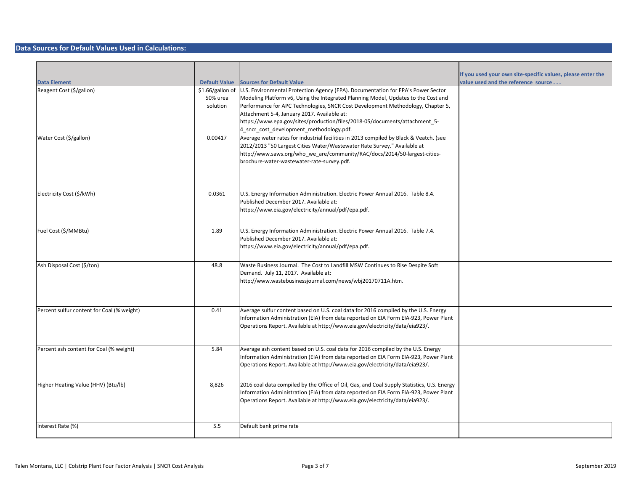#### **Data Sources for Default Values Used in Calculations:**

| <b>Data Element</b>                        | <b>Default Value</b>                     | <b>Sources for Default Value</b>                                                                                                                                                                                                                                                                                                                                                                                                   | If you used your own site-specific values, please enter the<br>value used and the reference source |
|--------------------------------------------|------------------------------------------|------------------------------------------------------------------------------------------------------------------------------------------------------------------------------------------------------------------------------------------------------------------------------------------------------------------------------------------------------------------------------------------------------------------------------------|----------------------------------------------------------------------------------------------------|
| Reagent Cost (\$/gallon)                   | \$1.66/gallon of<br>50% urea<br>solution | U.S. Environmental Protection Agency (EPA). Documentation for EPA's Power Sector<br>Modeling Platform v6, Using the Integrated Planning Model, Updates to the Cost and<br>Performance for APC Technologies, SNCR Cost Development Methodology, Chapter 5,<br>Attachment 5-4, January 2017. Available at:<br>https://www.epa.gov/sites/production/files/2018-05/documents/attachment_5-<br>4_sncr_cost_development_methodology.pdf. |                                                                                                    |
| Water Cost (\$/gallon)                     | 0.00417                                  | Average water rates for industrial facilities in 2013 compiled by Black & Veatch. (see<br>2012/2013 "50 Largest Cities Water/Wastewater Rate Survey." Available at<br>http://www.saws.org/who we are/community/RAC/docs/2014/50-largest-cities-<br>brochure-water-wastewater-rate-survey.pdf.                                                                                                                                      |                                                                                                    |
| Electricity Cost (\$/kWh)                  | 0.0361                                   | U.S. Energy Information Administration. Electric Power Annual 2016. Table 8.4.<br>Published December 2017. Available at:<br>https://www.eia.gov/electricity/annual/pdf/epa.pdf.                                                                                                                                                                                                                                                    |                                                                                                    |
| Fuel Cost (\$/MMBtu)                       | 1.89                                     | U.S. Energy Information Administration. Electric Power Annual 2016. Table 7.4.<br>Published December 2017. Available at:<br>https://www.eia.gov/electricity/annual/pdf/epa.pdf.                                                                                                                                                                                                                                                    |                                                                                                    |
| Ash Disposal Cost (\$/ton)                 | 48.8                                     | Waste Business Journal. The Cost to Landfill MSW Continues to Rise Despite Soft<br>Demand. July 11, 2017. Available at:<br>http://www.wastebusinessjournal.com/news/wbj20170711A.htm.                                                                                                                                                                                                                                              |                                                                                                    |
| Percent sulfur content for Coal (% weight) | 0.41                                     | Average sulfur content based on U.S. coal data for 2016 compiled by the U.S. Energy<br>Information Administration (EIA) from data reported on EIA Form EIA-923, Power Plant<br>Operations Report. Available at http://www.eia.gov/electricity/data/eia923/.                                                                                                                                                                        |                                                                                                    |
| Percent ash content for Coal (% weight)    | 5.84                                     | Average ash content based on U.S. coal data for 2016 compiled by the U.S. Energy<br>Information Administration (EIA) from data reported on EIA Form EIA-923, Power Plant<br>Operations Report. Available at http://www.eia.gov/electricity/data/eia923/.                                                                                                                                                                           |                                                                                                    |
| Higher Heating Value (HHV) (Btu/lb)        | 8,826                                    | 2016 coal data compiled by the Office of Oil, Gas, and Coal Supply Statistics, U.S. Energy<br>Information Administration (EIA) from data reported on EIA Form EIA-923, Power Plant<br>Operations Report. Available at http://www.eia.gov/electricity/data/eia923/.                                                                                                                                                                 |                                                                                                    |
| Interest Rate (%)                          | 5.5                                      | Default bank prime rate                                                                                                                                                                                                                                                                                                                                                                                                            |                                                                                                    |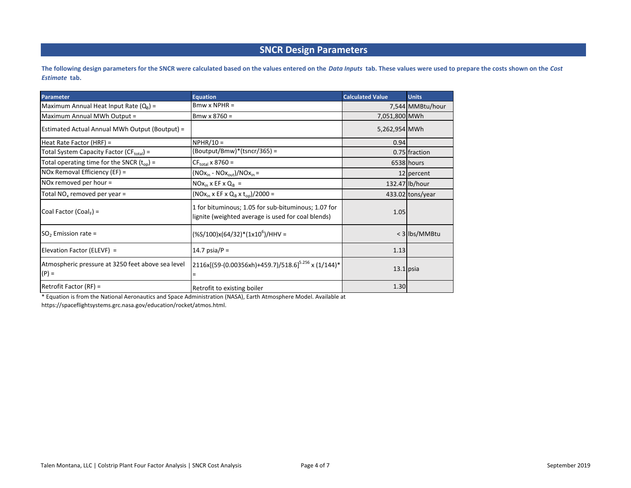## **SNCR Design Parameters**

**The following design parameters for the SNCR were calculated based on the values entered on the** *Data Inputs*  **tab. These values were used to prepare the costs shown on the** *Cost Estimate*  **tab.**

| <b>Parameter</b>                                             | <b>Equation</b>                                                                                           | <b>Calculated Value</b> | <b>Units</b>     |
|--------------------------------------------------------------|-----------------------------------------------------------------------------------------------------------|-------------------------|------------------|
| Maximum Annual Heat Input Rate $(Q_R)$ =                     | $Bmw \times NPHR =$                                                                                       |                         | 7,544 MMBtu/hour |
| Maximum Annual MWh Output =                                  | $B$ mw x 8760 =                                                                                           | 7,051,800 MWh           |                  |
| Estimated Actual Annual MWh Output (Boutput) =               |                                                                                                           | 5,262,954 MWh           |                  |
| Heat Rate Factor (HRF) =                                     | $NPHR/10 =$                                                                                               | 0.94                    |                  |
| Total System Capacity Factor (CF <sub>total</sub> ) =        | (Boutput/Bmw)*(tsncr/365) =                                                                               |                         | 0.75 fraction    |
| Total operating time for the SNCR $(t_{op})$ =               | $CF_{\text{total}}$ x 8760 =                                                                              |                         | 6538 hours       |
| NOx Removal Efficiency (EF) =                                | $(NOxin - NOxout)/NOxin =$                                                                                |                         | $12$ percent     |
| NOx removed per hour =                                       | $NOx_{in}$ x EF x $Q_B$ =                                                                                 |                         | 132.47 lb/hour   |
| Total NO <sub>v</sub> removed per year =                     | $(NOxin x EF x QB x ton)/2000 =$                                                                          |                         | 433.02 tons/year |
| Coal Factor (Coal, $=$                                       | 1 for bituminous; 1.05 for sub-bituminous; 1.07 for<br>lignite (weighted average is used for coal blends) | 1.05                    |                  |
| $SO2$ Emission rate =                                        | $(\frac{65}{100})x(64/32)^*(1x10^6)/HHV =$                                                                |                         | < 3 lbs/MMBtu    |
| Elevation Factor (ELEVF) =                                   | 14.7 psia/ $P =$                                                                                          | 1.13                    |                  |
| Atmospheric pressure at 3250 feet above sea level<br>$(P) =$ | 2116x[(59-(0.00356xh)+459.7)/518.6] <sup>5.256</sup> x (1/144)*<br>$=$                                    | $13.1$ psia             |                  |
| Retrofit Factor $(RF)$ =                                     | Retrofit to existing boiler                                                                               | 1.30                    |                  |

\* Equation is from the National Aeronautics and Space Administration (NASA), Earth Atmosphere Model. Available at

https://spaceflightsystems.grc.nasa.gov/education/rocket/atmos.html.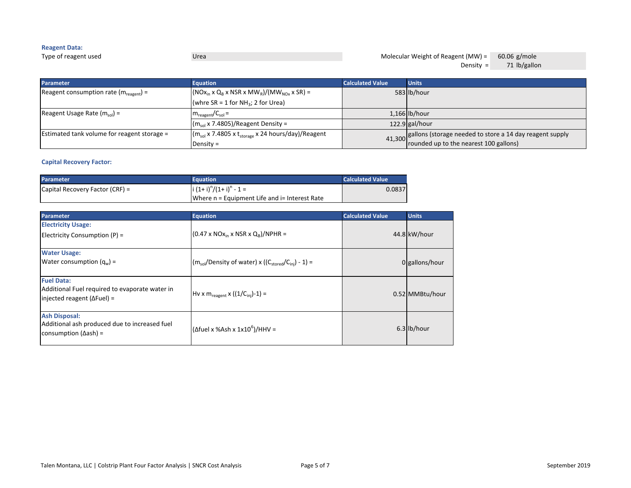### **Reagent Data:** Type of reagent used Urea 60.06 g/mole Molecular Weight of Reagent (MW) =

Density =  $71$  lb/gallon

| <b>Parameter</b>                                    | <b>Equation</b>                                                    | <b>Calculated Value</b> | <b>Units</b>                                                                                                 |
|-----------------------------------------------------|--------------------------------------------------------------------|-------------------------|--------------------------------------------------------------------------------------------------------------|
| Reagent consumption rate ( $m_{\text{reagent}}$ ) = | $(NOxin x QB x NSR x MWR)/(MWNOx x SR) =$                          |                         | 583 lb/hour                                                                                                  |
|                                                     | (whre SR = 1 for NH <sub>3</sub> ; 2 for Urea)                     |                         |                                                                                                              |
| Reagent Usage Rate $(m_{sol})$ =                    | $m_{\text{reagent}}/C_{\text{sol}} =$                              |                         | $1,166$ lb/hour                                                                                              |
|                                                     | $(m_{sol}$ x 7.4805)/Reagent Density =                             |                         | $122.9$ gal/hour                                                                                             |
| Estimated tank volume for reagent storage =         | $(m_{sol}$ x 7.4805 x t <sub>storage</sub> x 24 hours/day)/Reagent |                         | ation and pailons (storage needed to store a 14 day reagent supply<br>rounded up to the nearest 100 gallons) |
|                                                     | Density $=$                                                        |                         |                                                                                                              |

### **Capital Recovery Factor:**

| <b>Parameter</b>                | Equation                                              | <b>Calculated Value</b> |
|---------------------------------|-------------------------------------------------------|-------------------------|
| Capital Recovery Factor (CRF) = | $\left  i \left( 1+i \right)^n / (1+i)^n - 1 \right $ | 0.0837                  |
|                                 | Where n = Equipment Life and i= Interest Rate         |                         |

| <b>Parameter</b>                                                                                               | <b>Equation</b>                                                    | <b>Calculated Value</b> | <b>Units</b>    |
|----------------------------------------------------------------------------------------------------------------|--------------------------------------------------------------------|-------------------------|-----------------|
| <b>Electricity Usage:</b>                                                                                      |                                                                    |                         |                 |
| Electricity Consumption (P) =                                                                                  | $(0.47 \times NOx_{in} \times NSR \times Q_B)/NPHR =$              |                         | 44.8 kW/hour    |
| <b>Water Usage:</b>                                                                                            |                                                                    |                         |                 |
| Water consumption $(q_w)$ =                                                                                    | $(m_{sol}/Density\ of\ water) \times ((C_{stored}/C_{ini}) - 1) =$ |                         | 0 gallons/hour  |
| <b>Fuel Data:</b><br>Additional Fuel required to evaporate water in<br>$ $ injected reagent ( $\Delta$ Fuel) = | $Hv \times m_{\text{reagent}} \times ((1/C_{\text{inj}})-1) =$     |                         | 0.52 MMBtu/hour |
|                                                                                                                |                                                                    |                         |                 |
| <b>Ash Disposal:</b><br>Additional ash produced due to increased fuel<br>consumption ( $\Delta$ ash) =         | $(\Delta$ fuel x %Ash x 1x10 <sup>6</sup> )/HHV =                  |                         | 6.3 lb/hour     |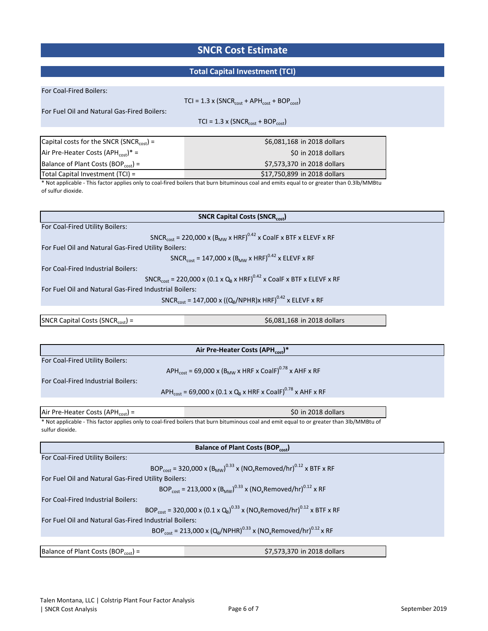# **SNCR Cost Estimate**

## **Total Capital Investment (TCI)**

| For Coal-Fired Boilers:                                |                                                                                                                                            |
|--------------------------------------------------------|--------------------------------------------------------------------------------------------------------------------------------------------|
|                                                        | $TCI = 1.3 \times (SNCR_{cost} + APH_{cost} + BOP_{cost})$                                                                                 |
| For Fuel Oil and Natural Gas-Fired Boilers:            |                                                                                                                                            |
|                                                        | $TCI = 1.3 \times (SNCR_{cost} + BOP_{cost})$                                                                                              |
|                                                        |                                                                                                                                            |
| Capital costs for the SNCR (SNCR <sub>cost</sub> ) =   | \$6,081,168 in 2018 dollars                                                                                                                |
| Air Pre-Heater Costs (APH <sub>cost</sub> )* =         | \$0 in 2018 dollars                                                                                                                        |
| Balance of Plant Costs (BOP <sub>cost</sub> ) =        | \$7,573,370 in 2018 dollars                                                                                                                |
| Total Capital Investment (TCI) =                       | \$17.750.899 in 2018 dollars                                                                                                               |
| of sulfur dioxide.                                     | * Not applicable - This factor applies only to coal-fired boilers that burn bituminous coal and emits equal to or greater than 0.3lb/MMBtu |
|                                                        |                                                                                                                                            |
|                                                        |                                                                                                                                            |
|                                                        | <b>SNCR Capital Costs (SNCRcost)</b>                                                                                                       |
| For Coal-Fired Utility Boilers:                        |                                                                                                                                            |
|                                                        | SNCR <sub>cost</sub> = 220,000 x (B <sub>MW</sub> x HRF) <sup>0.42</sup> x CoalF x BTF x ELEVF x RF                                        |
| For Fuel Oil and Natural Gas-Fired Utility Boilers:    |                                                                                                                                            |
|                                                        | SNCR <sub>cost</sub> = 147,000 x (B <sub>MW</sub> x HRF) <sup>0.42</sup> x ELEVF x RF                                                      |
| For Coal-Fired Industrial Boilers:                     |                                                                                                                                            |
|                                                        | SNCR <sub>cost</sub> = 220,000 x (0.1 x Q <sub>B</sub> x HRF) <sup>0.42</sup> x CoalF x BTF x ELEVF x RF                                   |
| For Fuel Oil and Natural Gas-Fired Industrial Boilers: |                                                                                                                                            |
|                                                        | SNCR <sub>cost</sub> = 147,000 x ((Q <sub>B</sub> /NPHR)x HRF) <sup>0.42</sup> x ELEVF x RF                                                |
|                                                        |                                                                                                                                            |
| SNCR Capital Costs (SNCR <sub>cost</sub> ) =           | \$6,081,168 in 2018 dollars                                                                                                                |
|                                                        |                                                                                                                                            |
|                                                        | Air Pre-Heater Costs (APH <sub>cost</sub> )*                                                                                               |
| For Coal-Fired Utility Boilers:                        |                                                                                                                                            |
|                                                        | APH <sub>cost</sub> = 69,000 x (B <sub>MW</sub> x HRF x CoalF) <sup>0.78</sup> x AHF x RF                                                  |
| For Coal-Fired Industrial Boilers:                     |                                                                                                                                            |
|                                                        | APH <sub>cost</sub> = 69,000 x (0.1 x Q <sub>B</sub> x HRF x CoalF) <sup>0.78</sup> x AHF x RF                                             |
|                                                        |                                                                                                                                            |
| Air Pre-Heater Costs (APH $_{cost}$ ) =                | \$0 in 2018 dollars                                                                                                                        |
|                                                        | * Not applicable - This factor applies only to coal-fired boilers that burn bituminous coal and emit equal to or greater than 3lb/MMBtu of |
| sulfur dioxide.                                        |                                                                                                                                            |
|                                                        | <b>Balance of Plant Costs (BOPcost)</b>                                                                                                    |
| For Coal-Fired Utility Boilers:                        |                                                                                                                                            |
|                                                        | BOP <sub>cost</sub> = 320,000 x (B <sub>MW</sub> ) <sup>0.33</sup> x (NO <sub>x</sub> Removed/hr) <sup>0.12</sup> x BTF x RF               |
| For Fuel Oil and Natural Gas-Fired Utility Boilers:    |                                                                                                                                            |
|                                                        | BOP <sub>cost</sub> = 213,000 x (B <sub>MW</sub> ) <sup>0.33</sup> x (NO <sub>x</sub> Removed/hr) <sup>0.12</sup> x RF                     |
| For Coal-Fired Industrial Boilers:                     |                                                                                                                                            |
|                                                        | $BOP_{\text{rest}} = 320,000 \times (0.1 \times Q_8)^{0.33} \times (NO_x\text{Removed/hr})^{0.12} \times BTF \times RF$                    |
| For Fuel Oil and Natural Gas-Fired Industrial Boilers: |                                                                                                                                            |
|                                                        |                                                                                                                                            |
|                                                        |                                                                                                                                            |
|                                                        | BOP <sub>cost</sub> = 213,000 x (Q <sub>B</sub> /NPHR) <sup>0.33</sup> x (NO <sub>x</sub> Removed/hr) <sup>0.12</sup> x RF                 |
| Balance of Plant Costs (BOP <sub>cost</sub> ) =        | \$7,573,370 in 2018 dollars                                                                                                                |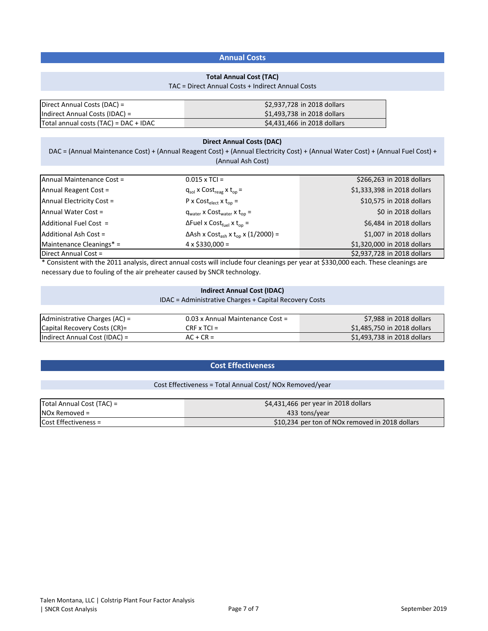### **Annual Costs**

### **Total Annual Cost (TAC)**

#### TAC = Direct Annual Costs + Indirect Annual Costs

| Direct Annual Costs (DAC) =           | \$2,937,728 in 2018 dollars |
|---------------------------------------|-----------------------------|
| Indirect Annual Costs (IDAC) =        | \$1,493,738 in 2018 dollars |
| Total annual costs (TAC) = DAC + IDAC | \$4,431,466 in 2018 dollars |

### **Direct Annual Costs (DAC)**

DAC = (Annual Maintenance Cost) + (Annual Reagent Cost) + (Annual Electricity Cost) + (Annual Water Cost) + (Annual Fuel Cost) + (Annual Ash Cost)

| Annual Maintenance Cost = | $0.015 \times TCI =$                                              | \$266,263 in 2018 dollars   |
|---------------------------|-------------------------------------------------------------------|-----------------------------|
| Annual Reagent Cost =     | $q_{sol}$ x Cost <sub>reag</sub> x t <sub>op</sub> =              | \$1,333,398 in 2018 dollars |
| Annual Electricity Cost = | $P \times Cost_{elect} \times t_{on} =$                           | \$10,575 in 2018 dollars    |
| Annual Water Cost =       | $q_{water}$ x $Cost_{water}$ x $t_{on}$ =                         | \$0 in 2018 dollars         |
| Additional Fuel Cost =    | $\Delta$ Fuel x Cost <sub>fuel</sub> x t <sub>op</sub> =          | \$6,484 in 2018 dollars     |
| Additional Ash Cost =     | $\Delta$ Ash x Cost <sub>ash</sub> x t <sub>op</sub> x (1/2000) = | \$1,007 in 2018 dollars     |
| Maintenance Cleanings* =  | $4 \times $330,000 =$                                             | \$1,320,000 in 2018 dollars |
| Direct Annual Cost =      |                                                                   | \$2,937,728 in 2018 dollars |

\* Consistent with the 2011 analysis, direct annual costs will include four cleanings per year at \$330,000 each. These cleanings are necessary due to fouling of the air preheater caused by SNCR technology.

### **Indirect Annual Cost (IDAC)**

IDAC = Administrative Charges + Capital Recovery Costs

| Administrative Charges (AC) = | 0.03 x Annual Maintenance Cost = | \$7,988 in 2018 dollars     |
|-------------------------------|----------------------------------|-----------------------------|
| Capital Recovery Costs (CR)=  | $CRF \times TCI =$               | \$1,485,750 in 2018 dollars |
| Indirect Annual Cost (IDAC) = | $AC + CR =$                      | \$1,493,738 in 2018 dollars |

### **Cost Effectiveness**

### Cost Effectiveness = Total Annual Cost/ NOx Removed/year

| Total Annual Cost (TAC) = | $\frac{1}{2}$ \$4,431,466 per year in 2018 dollars |
|---------------------------|----------------------------------------------------|
| $NOX$ Removed =           | 433 tons/year                                      |
| Cost Effectiveness =      | \$10,234 per ton of NOx removed in 2018 dollars    |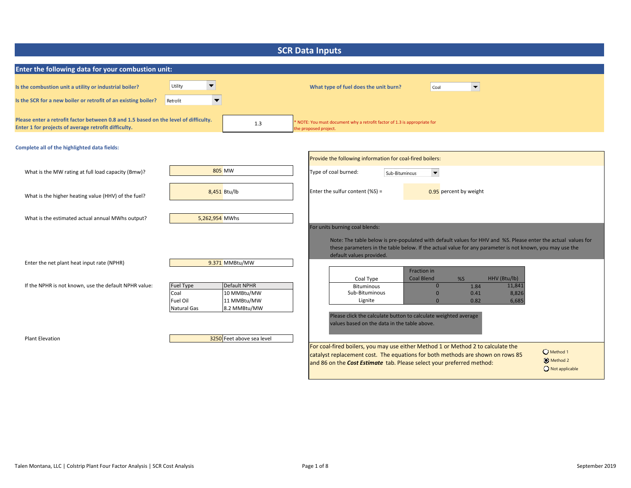| <b>SCR Data Inputs</b>                                                                                                                       |                                                                         |                                                            |                                                                                                                                                                                                                                                       |  |  |
|----------------------------------------------------------------------------------------------------------------------------------------------|-------------------------------------------------------------------------|------------------------------------------------------------|-------------------------------------------------------------------------------------------------------------------------------------------------------------------------------------------------------------------------------------------------------|--|--|
| Enter the following data for your combustion unit:                                                                                           |                                                                         |                                                            |                                                                                                                                                                                                                                                       |  |  |
| Is the combustion unit a utility or industrial boiler?<br>Is the SCR for a new boiler or retrofit of an existing boiler?                     | Utility<br>$\overline{\phantom{a}}$<br>Retrofit<br>$\blacktriangledown$ |                                                            | $\blacktriangledown$<br>What type of fuel does the unit burn?<br>Coal                                                                                                                                                                                 |  |  |
| Please enter a retrofit factor between 0.8 and 1.5 based on the level of difficulty.<br>Enter 1 for projects of average retrofit difficulty. |                                                                         | 1.3                                                        | NOTE: You must document why a retrofit factor of 1.3 is appropriate for<br>he proposed project.                                                                                                                                                       |  |  |
| Complete all of the highlighted data fields:                                                                                                 |                                                                         |                                                            |                                                                                                                                                                                                                                                       |  |  |
| What is the MW rating at full load capacity (Bmw)?                                                                                           |                                                                         | 805 MW                                                     | Provide the following information for coal-fired boilers:<br>Type of coal burned:<br>$\blacktriangledown$<br>Sub-Bituminous                                                                                                                           |  |  |
| What is the higher heating value (HHV) of the fuel?                                                                                          |                                                                         | 8,451 Btu/lb                                               | Enter the sulfur content $(% )$ =<br>0.95 percent by weight                                                                                                                                                                                           |  |  |
| What is the estimated actual annual MWhs output?                                                                                             | 5,262,954 MWhs                                                          |                                                            | For units burning coal blends:                                                                                                                                                                                                                        |  |  |
| Enter the net plant heat input rate (NPHR)                                                                                                   |                                                                         | 9.371 MMBtu/MW                                             | Note: The table below is pre-populated with default values for HHV and %S. Please enter the actual values for<br>these parameters in the table below. If the actual value for any parameter is not known, you may use the<br>default values provided. |  |  |
| If the NPHR is not known, use the default NPHR value:                                                                                        | <b>Fuel Type</b><br>Coal<br>Fuel Oil<br>Natural Gas                     | Default NPHR<br>10 MMBtu/MW<br>11 MMBtu/MW<br>8.2 MMBtu/MW | Fraction in<br>Coal Type<br><b>Coal Blend</b><br>%S<br>HHV (Btu/lb)<br>11,841<br>$\mathbf{0}$<br>1.84<br><b>Bituminous</b><br>8,826<br>Sub-Bituminous<br>$\mathbf{0}$<br>0.41<br>6,685<br>Lignite<br>$\mathbf{0}$<br>0.82                             |  |  |
| <b>Plant Elevation</b>                                                                                                                       |                                                                         | 3250 Feet above sea level                                  | Please click the calculate button to calculate weighted average<br>values based on the data in the table above.<br>For coal-fired boilers, you may use either Method 1 or Method 2 to calculate the                                                   |  |  |
|                                                                                                                                              |                                                                         |                                                            | Method 1<br>catalyst replacement cost. The equations for both methods are shown on rows 85<br>Method 2<br>and 86 on the Cost Estimate tab. Please select your preferred method:<br>Not applicable                                                     |  |  |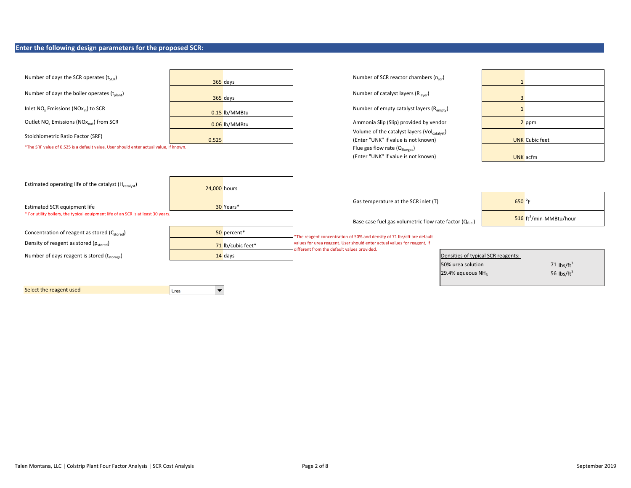### **Enter the following design parameters for the proposed SCR:**

| Number of days the SCR operates $(t_{scp})$                                           | 365 days          | Number of SCR reactor chambers (n <sub>scr</sub> )                                                                      |                                     |
|---------------------------------------------------------------------------------------|-------------------|-------------------------------------------------------------------------------------------------------------------------|-------------------------------------|
| Number of days the boiler operates (t <sub>olant</sub> )                              | 365 days          | Number of catalyst layers (R <sub>laver</sub> )                                                                         | $\overline{3}$                      |
| Inlet NO <sub>v</sub> Emissions (NO <sub>x<sub>in</sub>) to SCR</sub>                 | 0.15 lb/MMBtu     | Number of empty catalyst layers (R <sub>empty</sub> )                                                                   | $\mathbf{1}$                        |
| Outlet NO <sub>v</sub> Emissions (NO <sub>X<sub>out</sub>) from SCR</sub>             | 0.06 lb/MMBtu     | Ammonia Slip (Slip) provided by vendor                                                                                  | 2 ppm                               |
| Stoichiometric Ratio Factor (SRF)                                                     | 0.525             | Volume of the catalyst layers (Vol <sub>catalyst</sub> )<br>(Enter "UNK" if value is not known)                         | <b>UNK</b> Cubic feet               |
| *The SRF value of 0.525 is a default value. User should enter actual value, if known. |                   | Flue gas flow rate $(Q_{fluegas})$                                                                                      |                                     |
|                                                                                       |                   | (Enter "UNK" if value is not known)                                                                                     | UNK acfm                            |
| Estimated operating life of the catalyst (H <sub>catalyst</sub> )                     | 24,000 hours      |                                                                                                                         |                                     |
| <b>Estimated SCR equipment life</b>                                                   | 30 Years*         | Gas temperature at the SCR inlet (T)                                                                                    | 650 °F                              |
| * For utility boilers, the typical equipment life of an SCR is at least 30 years.     |                   | Base case fuel gas volumetric flow rate factor $(Q_{\text{final}})$                                                     | 516 ft <sup>3</sup> /min-MMBtu/hour |
| Concentration of reagent as stored (Cstored)                                          | 50 percent*       | *The reagent concentration of 50% and density of 71 lbs/cft are default                                                 |                                     |
| Density of reagent as stored ( $\rho_{\rm stored}$ )                                  | 71 lb/cubic feet* | values for urea reagent. User should enter actual values for reagent, if<br>different from the default values provided. |                                     |
| Number of days reagent is stored (tstorage)                                           | $14$ days         |                                                                                                                         | Densities of typical SCR reagents:  |
|                                                                                       |                   | 50% urea solution                                                                                                       | 71 $\text{lbs/ft}^3$                |
|                                                                                       |                   | 29.4% aqueous NH <sub>3</sub>                                                                                           | 56 $\text{lbs/ft}^3$                |
| Select the reagent used                                                               | Urea              |                                                                                                                         |                                     |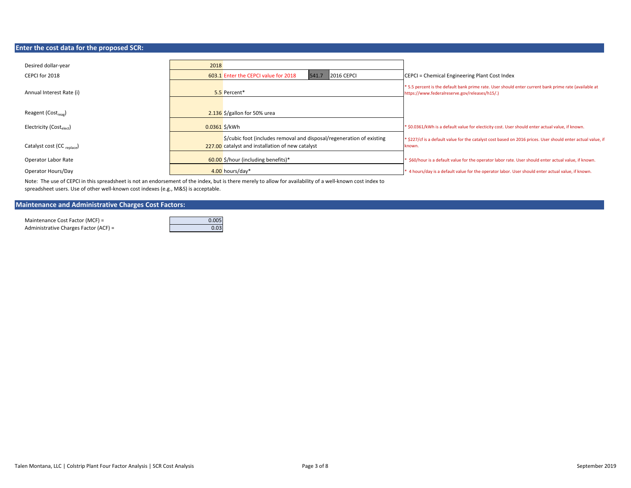### **Enter the cost data for the proposed SCR:**

| Desired dollar-year                    | 2018                                                                                                                                                  |                                                                                                                                                         |
|----------------------------------------|-------------------------------------------------------------------------------------------------------------------------------------------------------|---------------------------------------------------------------------------------------------------------------------------------------------------------|
| CEPCI for 2018                         | <b>2016 CEPCI</b><br>603.1 Enter the CEPCI value for 2018<br>541.7                                                                                    | CEPCI = Chemical Engineering Plant Cost Index                                                                                                           |
| Annual Interest Rate (i)               | 5.5 Percent*                                                                                                                                          | * 5.5 percent is the default bank prime rate. User should enter current bank prime rate (available at<br>https://www.federalreserve.gov/releases/h15/.) |
| Reagent (Cost <sub>reag</sub> )        | $2.136$ \$/gallon for 50% urea                                                                                                                        |                                                                                                                                                         |
| Electricity (Costelect)                | $0.0361$ \$/kWh                                                                                                                                       | * \$0.0361/kWh is a default value for electicity cost. User should enter actual value, if known.                                                        |
| Catalyst cost (CC <sub>replace</sub> ) | $\frac{1}{2}$ $\frac{1}{2}$ $\frac{1}{2}$ (includes removal and disposal/regeneration of existing<br>227.00 catalyst and installation of new catalyst | * \$227/cf is a default value for the catalyst cost based on 2016 prices. User should enter actual value, if<br>known.                                  |
| Operator Labor Rate                    | 60.00 \$/hour (including benefits)*                                                                                                                   | \$60/hour is a default value for the operator labor rate. User should enter actual value, if known.                                                     |
| Operator Hours/Day                     | 4.00 hours/day*                                                                                                                                       | * 4 hours/day is a default value for the operator labor. User should enter actual value, if known.                                                      |

Note: The use of CEPCI in this spreadsheet is not an endorsement of the index, but is there merely to allow for availability of a well‐known cost index to spreadsheet users. Use of other well-known cost indexes (e.g., M&S) is acceptable.

### **Maintenance and Administrative Charges Cost Factors:**

Maintenance Cost Factor (MCF) = 0.005 Administrative Charges Factor (ACF) = 0.03

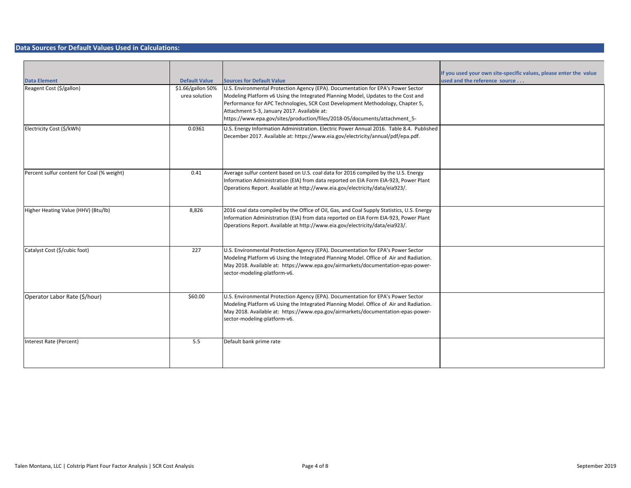#### **Data Sources for Default Values Used in Calculations:**

|                                            |                      |                                                                                                                                                                            | If you used your own site-specific values, please enter the value |
|--------------------------------------------|----------------------|----------------------------------------------------------------------------------------------------------------------------------------------------------------------------|-------------------------------------------------------------------|
| <b>Data Element</b>                        | <b>Default Value</b> | <b>Sources for Default Value</b>                                                                                                                                           | used and the reference source                                     |
| Reagent Cost (\$/gallon)                   | \$1.66/gallon 50%    | U.S. Environmental Protection Agency (EPA). Documentation for EPA's Power Sector                                                                                           |                                                                   |
|                                            | urea solution        | Modeling Platform v6 Using the Integrated Planning Model, Updates to the Cost and<br>Performance for APC Technologies, SCR Cost Development Methodology, Chapter 5,        |                                                                   |
|                                            |                      | Attachment 5-3, January 2017. Available at:                                                                                                                                |                                                                   |
|                                            |                      | https://www.epa.gov/sites/production/files/2018-05/documents/attachment 5-                                                                                                 |                                                                   |
|                                            |                      |                                                                                                                                                                            |                                                                   |
| Electricity Cost (\$/kWh)                  | 0.0361               | U.S. Energy Information Administration. Electric Power Annual 2016. Table 8.4. Published                                                                                   |                                                                   |
|                                            |                      | December 2017. Available at: https://www.eia.gov/electricity/annual/pdf/epa.pdf.                                                                                           |                                                                   |
|                                            |                      |                                                                                                                                                                            |                                                                   |
|                                            |                      |                                                                                                                                                                            |                                                                   |
|                                            |                      |                                                                                                                                                                            |                                                                   |
| Percent sulfur content for Coal (% weight) | 0.41                 | Average sulfur content based on U.S. coal data for 2016 compiled by the U.S. Energy                                                                                        |                                                                   |
|                                            |                      | Information Administration (EIA) from data reported on EIA Form EIA-923, Power Plant                                                                                       |                                                                   |
|                                            |                      | Operations Report. Available at http://www.eia.gov/electricity/data/eia923/.                                                                                               |                                                                   |
|                                            |                      |                                                                                                                                                                            |                                                                   |
| Higher Heating Value (HHV) (Btu/lb)        | 8,826                | 2016 coal data compiled by the Office of Oil, Gas, and Coal Supply Statistics, U.S. Energy                                                                                 |                                                                   |
|                                            |                      | Information Administration (EIA) from data reported on EIA Form EIA-923, Power Plant                                                                                       |                                                                   |
|                                            |                      | Operations Report. Available at http://www.eia.gov/electricity/data/eia923/.                                                                                               |                                                                   |
|                                            |                      |                                                                                                                                                                            |                                                                   |
|                                            |                      |                                                                                                                                                                            |                                                                   |
| Catalyst Cost (\$/cubic foot)              | 227                  | U.S. Environmental Protection Agency (EPA). Documentation for EPA's Power Sector                                                                                           |                                                                   |
|                                            |                      | Modeling Platform v6 Using the Integrated Planning Model. Office of Air and Radiation.                                                                                     |                                                                   |
|                                            |                      | May 2018. Available at: https://www.epa.gov/airmarkets/documentation-epas-power-                                                                                           |                                                                   |
|                                            |                      | sector-modeling-platform-v6.                                                                                                                                               |                                                                   |
|                                            |                      |                                                                                                                                                                            |                                                                   |
|                                            |                      |                                                                                                                                                                            |                                                                   |
| Operator Labor Rate (\$/hour)              | \$60.00              | U.S. Environmental Protection Agency (EPA). Documentation for EPA's Power Sector                                                                                           |                                                                   |
|                                            |                      | Modeling Platform v6 Using the Integrated Planning Model. Office of Air and Radiation.<br>May 2018. Available at: https://www.epa.gov/airmarkets/documentation-epas-power- |                                                                   |
|                                            |                      | sector-modeling-platform-v6.                                                                                                                                               |                                                                   |
|                                            |                      |                                                                                                                                                                            |                                                                   |
|                                            |                      |                                                                                                                                                                            |                                                                   |
| Interest Rate (Percent)                    | 5.5                  | Default bank prime rate                                                                                                                                                    |                                                                   |
|                                            |                      |                                                                                                                                                                            |                                                                   |
|                                            |                      |                                                                                                                                                                            |                                                                   |
|                                            |                      |                                                                                                                                                                            |                                                                   |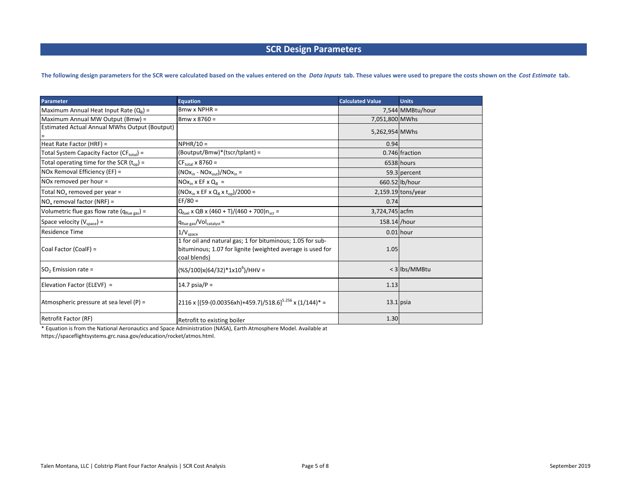### **SCR Design Parameters**

The following design parameters for the SCR were calculated based on the values entered on the Data Inputs tab. These values were used to prepare the costs shown on the Cost Estimate tab.

| <b>Parameter</b>                                          | <b>Equation</b>                                                                                                                          | <b>Calculated Value</b> | <b>Units</b>         |
|-----------------------------------------------------------|------------------------------------------------------------------------------------------------------------------------------------------|-------------------------|----------------------|
| Maximum Annual Heat Input Rate $(Q_R)$ =                  | $Bmw \times NPHR =$                                                                                                                      |                         | 7,544 MMBtu/hour     |
| Maximum Annual MW Output (Bmw) =                          | $B$ mw x 8760 =                                                                                                                          | 7,051,800 MWhs          |                      |
| Estimated Actual Annual MWhs Output (Boutput)             |                                                                                                                                          | 5,262,954 MWhs          |                      |
| Heat Rate Factor (HRF) =                                  | $NPHR/10 =$                                                                                                                              | 0.94                    |                      |
| Total System Capacity Factor (CF <sub>total</sub> ) =     | (Boutput/Bmw)*(tscr/tplant) =                                                                                                            |                         | 0.746 fraction       |
| Total operating time for the SCR $(t_{op})$ =             | $CF_{\text{total}}$ x 8760 =                                                                                                             |                         | 6538 hours           |
| NOx Removal Efficiency (EF) =                             | $(NOxin - NOxout)/NOxin =$                                                                                                               |                         | 59.3 percent         |
| NOx removed per hour =                                    | $NOx_{in}$ x EF x $Q_B$ =                                                                                                                |                         | 660.52 lb/hour       |
| Total NO <sub>x</sub> removed per year =                  | $(NOxin x EF x QB x top)/2000 =$                                                                                                         |                         | $2,159.19$ tons/year |
| $NOx$ removal factor (NRF) =                              | $EF/80 =$                                                                                                                                | 0.74                    |                      |
| Volumetric flue gas flow rate ( $q_{\text{flue gas}}$ ) = | $Q_{\text{fuel}}$ x QB x (460 + T)/(460 + 700) $n_{\text{scr}}$ =                                                                        | 3,724,745 acfm          |                      |
| Space velocity $(V_{space})$ =                            | $q_{\text{flue gas}}/Vol_{\text{catalyst}} =$                                                                                            | 158.14 /hour            |                      |
| <b>Residence Time</b>                                     | $1/V_{space}$                                                                                                                            |                         | $0.01$ hour          |
| Coal Factor (CoalF) =                                     | 1 for oil and natural gas; 1 for bituminous; 1.05 for sub-<br>bituminous; 1.07 for lignite (weighted average is used for<br>coal blends) | 1.05                    |                      |
| $SO2$ Emission rate =                                     | $(%100)x(64/32)*1x106)/HHV =$                                                                                                            |                         | < 3 lbs/MMBtu        |
| Elevation Factor (ELEVF) =                                | 14.7 psia/ $P =$                                                                                                                         | 1.13                    |                      |
| Atmospheric pressure at sea level $(P)$ =                 | $2116 \times [(59-(0.00356 \times h)+459.7)/518.6]^{5.256} \times (1/144)^* =$                                                           |                         | $13.1$ psia          |
| Retrofit Factor (RF)                                      | Retrofit to existing boiler                                                                                                              | 1.30                    |                      |

\* Equation is from the National Aeronautics and Space Administration (NASA), Earth Atmosphere Model. Available at https://spaceflightsystems.grc.nasa.gov/education/rocket/atmos.html.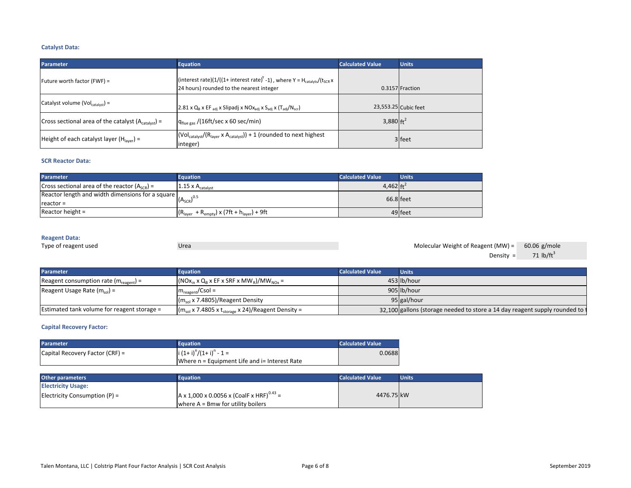### **Catalyst Data:**

| <b>Parameter</b>                                   | <b>Equation</b>                                                                                                                                          | <b>Calculated Value</b> | <b>Units</b>         |
|----------------------------------------------------|----------------------------------------------------------------------------------------------------------------------------------------------------------|-------------------------|----------------------|
| Future worth factor (FWF) =                        | (interest rate)(1/((1+ interest rate) <sup>Y</sup> -1), where Y = H <sub>catalyts</sub> /(t <sub>SCR</sub> x<br>24 hours) rounded to the nearest integer |                         | 0.3157 Fraction      |
| Catalyst volume (Vol <sub>catalyst</sub> ) =       | 2.81 x $Q_B$ x EF $_{adj}$ x Slipadj x NO $x_{adj}$ x S <sub>adj</sub> x (T <sub>adj</sub> /N <sub>scr</sub> )                                           |                         | 23,553.25 Cubic feet |
| Cross sectional area of the catalyst $(Acalvst)$ = | $q_{\text{flue gas}}$ /(16ft/sec x 60 sec/min)                                                                                                           | 3,880 $ft^2$            |                      |
| Height of each catalyst layer ( $Hlaver$ ) =       | $(Vol_{\text{catalyst}}/(R_{\text{layer}} \times A_{\text{catalyst}})) + 1$ (rounded to next highest<br>integer)                                         |                         | 3 feet               |

#### **SCR Reactor Data:**

| <b>Parameter</b>                                                                                                   | <b>Equation</b>                                 | <b>Calculated Value</b> | <b>Units</b> |
|--------------------------------------------------------------------------------------------------------------------|-------------------------------------------------|-------------------------|--------------|
| Cross sectional area of the reactor $(ASCR) =$                                                                     | 1.15 $\times$ A <sub>catalyst</sub>             | 4,462 $ft^2$            |              |
| $\frac{1}{2}$ Reactor length and width dimensions for a square $\left _{\left(A_{\text{SCR}}\right)^{0.5}}\right $ |                                                 | 66.8 feet               |              |
| $reactor =$                                                                                                        |                                                 |                         |              |
| Reactor height $=$                                                                                                 | $(Rlayer + Rempty) \times (7ft + hlayer) + 9ft$ |                         | 49 feet      |

#### **Reagent Data:**

| Type of reagent used |  |
|----------------------|--|
|                      |  |

Type of reagent used Urea 60.06 g/mole Molecular Weight of Reagent (MW) = Density =  $71$  lb/ft<sup>3</sup>

| <b>Parameter</b>                                  | <b>Equation</b>                                                    | <b>Calculated Value</b> | <b>Units</b>                                                                 |
|---------------------------------------------------|--------------------------------------------------------------------|-------------------------|------------------------------------------------------------------------------|
| Reagent consumption rate $(m_{\text{rearent}})$ = | $(NOxin x QB x EF x SRF x MWB)/MWNOx =$                            |                         | 453 lb/hour                                                                  |
| Reagent Usage Rate $(m_{sol})$ =                  | $m_{\text{reagent}} / \text{Csol} =$                               |                         | 905 lb/hour                                                                  |
|                                                   | $(msol x 7.4805)/$ Reagent Density                                 |                         | 95 gal/hour                                                                  |
| Estimated tank volume for reagent storage =       | $(m_{sol}$ x 7.4805 x t <sub>storage</sub> x 24)/Reagent Density = |                         | 32,100 gallons (storage needed to store a 14 day reagent supply rounded to t |

#### **Capital Recovery Factor:**

| <b>Parameter</b>                  | Equation                                      | Calculated Value |
|-----------------------------------|-----------------------------------------------|------------------|
| Capital Recovery Factor $(CRF) =$ | $(i (1+i)^n/(1+i)^n - 1 =$                    | 0.0688           |
|                                   | Where n = Equipment Life and i= Interest Rate |                  |

| <b>Other parameters</b>         | <b>Equation</b>                                      | <b>Calculated Value</b> | <b>Units</b> |
|---------------------------------|------------------------------------------------------|-------------------------|--------------|
| <b>Electricity Usage:</b>       |                                                      |                         |              |
| Electricity Consumption $(P)$ = | A x 1,000 x 0.0056 x (CoalF x HRF) <sup>0.43</sup> = | 4476.75 kW              |              |
|                                 | where $A = B$ mw for utility boilers                 |                         |              |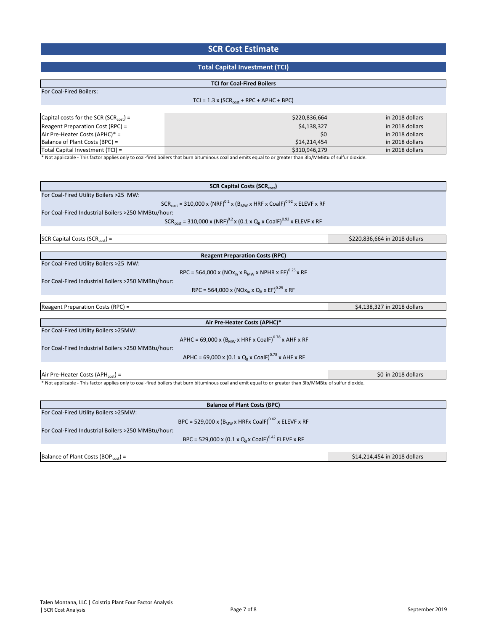### **SCR Cost Estimate**

### **Total Capital Investment (TCI)**

#### **TCI for Coal‐Fired Boilers**

| <b>For Coal-Fired Boilers:</b> |  |
|--------------------------------|--|
|--------------------------------|--|

 $TCI = 1.3 \times (SCR_{cost} + RPC + APHC + BPC)$ 

| Capital costs for the SCR (SCR <sub>cost</sub> ) = | \$220,836,664 | in 2018 dollars |
|----------------------------------------------------|---------------|-----------------|
| Reagent Preparation Cost (RPC) =                   | \$4,138,327   | in 2018 dollars |
| Air Pre-Heater Costs (APHC)* =                     | \$0           | in 2018 dollars |
| Balance of Plant Costs (BPC) =                     | \$14.214.454  | in 2018 dollars |
| Total Capital Investment (TCI) =                   | \$310,946,279 | in 2018 dollars |
|                                                    |               |                 |

\* Not applicable ‐ This factor applies only to coal‐fired boilers that burn bituminous coal and emits equal to or greater than 3lb/MMBtu of sulfur dioxide.

| <b>SCR Capital Costs (SCRcost)</b>                                                                                                                         |  |
|------------------------------------------------------------------------------------------------------------------------------------------------------------|--|
| For Coal-Fired Utility Boilers >25 MW:                                                                                                                     |  |
| $SCR_{cost} = 310,000 \times (NRF)^{0.2} \times (B_{MW} \times HRF \times CoalF)^{0.92} \times ELEVF \times RF$                                            |  |
| For Coal-Fired Industrial Boilers >250 MMBtu/hour:                                                                                                         |  |
| $SCR_{cost} = 310,000 \times (NRF)^{0.2} \times (0.1 \times Q_B \times CoalF)^{0.92} \times ELEVF \times RF$                                               |  |
|                                                                                                                                                            |  |
| SCR Capital Costs (SCR <sub>cost</sub> ) =<br>\$220,836,664 in 2018 dollars                                                                                |  |
|                                                                                                                                                            |  |
| <b>Reagent Preparation Costs (RPC)</b>                                                                                                                     |  |
| For Coal-Fired Utility Boilers >25 MW:                                                                                                                     |  |
| RPC = 564,000 x (NOx <sub>in</sub> x B <sub>MW</sub> x NPHR x EF) <sup>0.25</sup> x RF                                                                     |  |
| For Coal-Fired Industrial Boilers >250 MMBtu/hour:                                                                                                         |  |
| RPC = 564,000 x (NOx <sub>in</sub> x Q <sub>B</sub> x EF) <sup>0.25</sup> x RF                                                                             |  |
|                                                                                                                                                            |  |
| Reagent Preparation Costs (RPC) =<br>\$4,138,327 in 2018 dollars                                                                                           |  |
| Air Pre-Heater Costs (APHC)*                                                                                                                               |  |
| For Coal-Fired Utility Boilers >25MW:                                                                                                                      |  |
| APHC = 69,000 x ( $B_{MW}$ x HRF x CoalF) <sup>0.78</sup> x AHF x RF                                                                                       |  |
| For Coal-Fired Industrial Boilers >250 MMBtu/hour:                                                                                                         |  |
| APHC = 69,000 x (0.1 x Q <sub>B</sub> x CoalF) <sup>0.78</sup> x AHF x RF                                                                                  |  |
|                                                                                                                                                            |  |
| Air Pre-Heater Costs (APH $_{cost}$ ) =<br>\$0 in 2018 dollars                                                                                             |  |
| * Not applicable - This factor applies only to coal-fired boilers that burn bituminous coal and emit equal to or greater than 3lb/MMBtu of sulfur dioxide. |  |
|                                                                                                                                                            |  |
| <b>Balance of Plant Costs (BPC)</b>                                                                                                                        |  |
| For Coal-Fired Utility Boilers >25MW:                                                                                                                      |  |
| BPC = 529,000 x (B <sub>MW</sub> x HRFx CoalF) <sup>0.42</sup> x ELEVF x RF                                                                                |  |
| For Coal-Fired Industrial Boilers >250 MMBtu/hour:                                                                                                         |  |
| BPC = 529,000 x (0.1 x Q <sub>B</sub> x CoalF) <sup>0.42</sup> ELEVF x RF                                                                                  |  |
|                                                                                                                                                            |  |

Balance of Plant Costs (BOP<sub>cost</sub>) =  $$14,214,454$  in 2018 dollars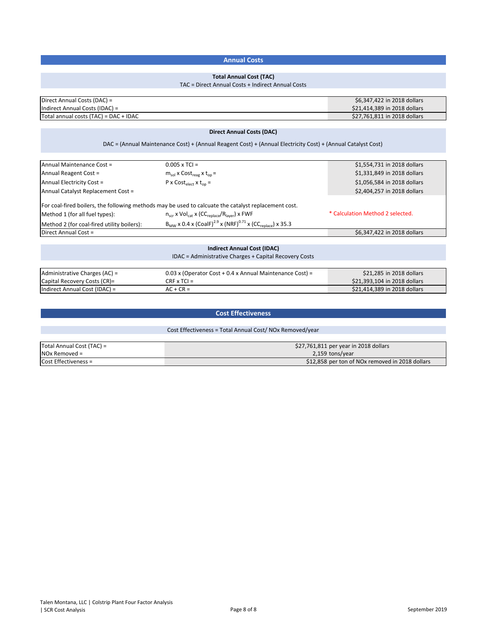### **Annual Costs**

### **Total Annual Cost (TAC)**

#### TAC = Direct Annual Costs + Indirect Annual Costs

| Direct Annual Costs (DAC) =           | \$6,347,422 in 2018 dollars  |
|---------------------------------------|------------------------------|
| Indirect Annual Costs (IDAC) =        | \$21,414,389 in 2018 dollars |
| Total annual costs (TAC) = DAC + IDAC | \$27,761,811 in 2018 dollars |

### **Direct Annual Costs (DAC)**

DAC = (Annual Maintenance Cost) + (Annual Reagent Cost) + (Annual Electricity Cost) + (Annual Catalyst Cost)

| Annual Maintenance Cost =                                                                                                                                                            | $0.005 \times TCI =$                                 | \$1,554,731 in 2018 dollars |
|--------------------------------------------------------------------------------------------------------------------------------------------------------------------------------------|------------------------------------------------------|-----------------------------|
| Annual Reagent Cost =                                                                                                                                                                | $m_{sol}$ x Cost <sub>reag</sub> x t <sub>op</sub> = | \$1,331,849 in 2018 dollars |
| Annual Electricity Cost =<br>P x $Cost_{elect}$ x $t_{on}$ =                                                                                                                         |                                                      | \$1,056,584 in 2018 dollars |
| Annual Catalyst Replacement Cost =                                                                                                                                                   | \$2,404,257 in 2018 dollars                          |                             |
| For coal-fired boilers, the following methods may be used to calcuate the catalyst replacement cost.<br>Method 1 (for all fuel types):<br>Method 2 (for coal-fired utility boilers): | * Calculation Method 2 selected.                     |                             |
| Direct Annual Cost =                                                                                                                                                                 | \$6,347,422 in 2018 dollars                          |                             |
|                                                                                                                                                                                      |                                                      |                             |
|                                                                                                                                                                                      | <b>Indirect Annual Cost (IDAC)</b>                   |                             |

|                               | IDAC = Administrative Charges + Capital Recovery Costs     |                              |
|-------------------------------|------------------------------------------------------------|------------------------------|
|                               |                                                            |                              |
| Administrative Charges (AC) = | $0.03$ x (Operator Cost + 0.4 x Annual Maintenance Cost) = | \$21,285 in 2018 dollars     |
| Capital Recovery Costs (CR)=  | $CRF \times TCI =$                                         | \$21,393,104 in 2018 dollars |
| Indirect Annual Cost (IDAC) = | $AC + CR =$                                                | \$21,414,389 in 2018 dollars |

### **Cost Effectiveness**

#### Cost Effectiveness = Total Annual Cost/ NOx Removed/year

| Total Annual Cost (TAC) = | \$27,761,811 per year in 2018 dollars           |
|---------------------------|-------------------------------------------------|
| $NOX$ Removed =           | 2,159 tons/year                                 |
| Cost Effectiveness =      | \$12,858 per ton of NOx removed in 2018 dollars |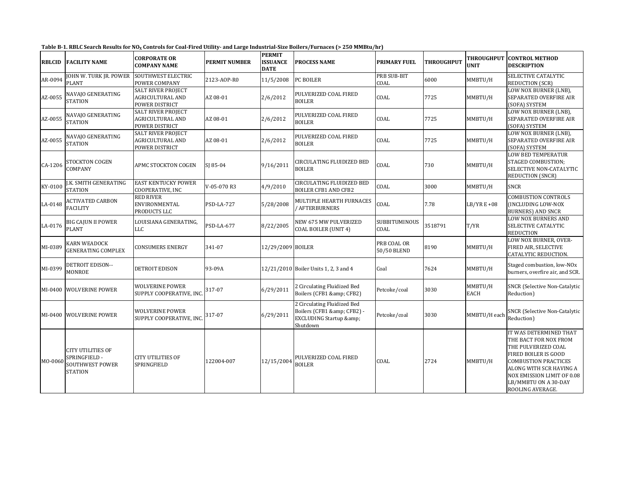| Table B-1. RBLC Search Results for NO <sub>x</sub> Controls for Coal-Fired Utility- and Large Industrial-Size Boilers/Furnaces (> 250 MMBtu/hr) |  |
|-------------------------------------------------------------------------------------------------------------------------------------------------|--|
|-------------------------------------------------------------------------------------------------------------------------------------------------|--|

| <b>RBLCID</b> | <b>FACILITY NAME</b>                                                                  | <b>CORPORATE OR</b><br><b>COMPANY NAME</b>                             | PERMIT NUMBER | <b>PERMIT</b><br><b>ISSUANCE</b><br><b>DATE</b> | <b>PROCESS NAME</b>                                                                                   | <b>PRIMARY FUEL</b>        | <b>THROUGHPUT</b> | THROUGHPUT<br><b>UNIT</b> | <b>CONTROL METHOD</b><br><b>DESCRIPTION</b>                                                                                                                                                                                        |
|---------------|---------------------------------------------------------------------------------------|------------------------------------------------------------------------|---------------|-------------------------------------------------|-------------------------------------------------------------------------------------------------------|----------------------------|-------------------|---------------------------|------------------------------------------------------------------------------------------------------------------------------------------------------------------------------------------------------------------------------------|
| AR-0094       | JOHN W. TURK JR. POWER<br><b>PLANT</b>                                                | SOUTHWEST ELECTRIC<br>POWER COMPANY                                    | 2123-AOP-R0   | 11/5/2008                                       | PC BOILER                                                                                             | <b>PRB SUB-BIT</b><br>COAL | 6000              | MMBTU/H                   | SELECTIVE CATALYTIC<br>REDUCTION (SCR)                                                                                                                                                                                             |
| AZ-0055       | NAVAJO GENERATING<br><b>STATION</b>                                                   | <b>SALT RIVER PROJECT</b><br><b>AGRICULTURAL AND</b><br>POWER DISTRICT | AZ 08-01      | 2/6/2012                                        | PULVERIZED COAL FIRED<br><b>BOILER</b>                                                                | COAL                       | 7725              | MMBTU/H                   | LOW NOX BURNER (LNB).<br>SEPARATED OVERFIRE AIR<br>(SOFA) SYSTEM                                                                                                                                                                   |
| AZ-0055       | NAVAJO GENERATING<br>STATION                                                          | <b>SALT RIVER PROJECT</b><br>AGRICULTURAL AND<br>POWER DISTRICT        | AZ 08-01      | 2/6/2012                                        | PULVERIZED COAL FIRED<br><b>BOILER</b>                                                                | COAL                       | 7725              | MMBTU/H                   | LOW NOX BURNER (LNB),<br>SEPARATED OVERFIRE AIR<br>(SOFA) SYSTEM                                                                                                                                                                   |
| AZ-0055       | NAVAJO GENERATING<br><b>STATION</b>                                                   | <b>SALT RIVER PROJECT</b><br><b>AGRICULTURAL AND</b><br>POWER DISTRICT | AZ 08-01      | 2/6/2012                                        | PULVERIZED COAL FIRED<br><b>BOILER</b>                                                                | COAL                       | 7725              | MMBTU/H                   | LOW NOX BURNER (LNB),<br>SEPARATED OVERFIRE AIR<br>(SOFA) SYSTEM                                                                                                                                                                   |
| CA-1206       | STOCKTON COGEN<br>COMPANY                                                             | APMC STOCKTON COGEN                                                    | SJ 85-04      | 9/16/2011                                       | CIRCULATING FLUIDIZED BED<br><b>BOILER</b>                                                            | COAL                       | 730               | MMBTU/H                   | <b>LOW BED TEMPERATUR</b><br>STAGED COMBUSTION;<br>SELECTIVE NON-CATALYTIC<br><b>REDUCTION (SNCR)</b>                                                                                                                              |
| KY-0100       | J.K. SMITH GENERATING<br><b>STATION</b>                                               | <b>EAST KENTUCKY POWER</b><br>COOPERATIVE, INC                         | V-05-070 R3   | 4/9/2010                                        | CIRCULATING FLUIDIZED BED<br><b>BOILER CFB1 AND CFB2</b>                                              | COAL                       | 3000              | MMBTU/H                   | <b>SNCR</b>                                                                                                                                                                                                                        |
| LA-0148       | <b>ACTIVATED CARBON</b><br><b>FACILITY</b>                                            | <b>RED RIVER</b><br>ENVIRONMENTAL<br>PRODUCTS LLC                      | PSD-LA-727    | 5/28/2008                                       | MULTIPLE HEARTH FURNACES<br>/ AFTERBURNERS                                                            | COAL                       | 7.78              | $LB/YR E + 08$            | <b>COMBUSTION CONTROLS</b><br>(INCLUDING LOW-NOX<br>BURNERS) AND SNCR                                                                                                                                                              |
| LA-0176       | <b>BIG CAJUN II POWER</b><br><b>PLANT</b>                                             | LOUISIANA GENERATING,<br>LLC                                           | PSD-LA-677    | 8/22/2005                                       | NEW 675 MW PULVERIZED<br>COAL BOILER (UNIT 4)                                                         | SUBBITUMINOUS<br>COAL      | 3518791           | T/YR                      | LOW NOX BURNERS AND<br>SELECTIVE CATALYTIC<br><b>REDUCTION</b>                                                                                                                                                                     |
| MI-0389       | KARN WEADOCK<br><b>GENERATING COMPLEX</b>                                             | CONSUMERS ENERGY                                                       | 341-07        | 12/29/2009 BOILER                               |                                                                                                       | PRB COAL OR<br>50/50 BLEND | 8190              | MMBTU/H                   | LOW NOX BURNER, OVER-<br>FIRED AIR, SELECTIVE<br>CATALYTIC REDUCTION.                                                                                                                                                              |
| MI-0399       | DETROIT EDISON--<br><b>MONROE</b>                                                     | DETROIT EDISON                                                         | 93-09A        |                                                 | 12/21/2010 Boiler Units 1, 2, 3 and 4                                                                 | Coal                       | 7624              | MMBTU/H                   | Staged combustion, low-NOx<br>burners, overfire air, and SCR.                                                                                                                                                                      |
| MI-0400       | <b>WOLVERINE POWER</b>                                                                | WOLVERINE POWER<br>SUPPLY COOPERATIVE, INC.                            | 317-07        | 6/29/2011                                       | 2 Circulating Fluidized Bed<br>Boilers (CFB1 & CFB2)                                                  | Petcoke/coal               | 3030              | MMBTU/H<br>EACH           | <b>SNCR</b> (Selective Non-Catalytic<br>Reduction)                                                                                                                                                                                 |
| MI-0400       | <b>WOLVERINE POWER</b>                                                                | <b>WOLVERINE POWER</b><br>SUPPLY COOPERATIVE, INC                      | 317-07        | 6/29/2011                                       | 2 Circulating Fluidized Bed<br>Boilers (CFB1 & CFB2) -<br><b>EXCLUDING Startup &amp;:</b><br>Shutdown | Petcoke/coal               | 3030              | MMBTU/H each              | <b>SNCR</b> (Selective Non-Catalytic<br>Reduction)                                                                                                                                                                                 |
| MO-0060       | <b>CITY UTILITIES OF</b><br>SPRINGFIELD -<br><b>SOUTHWEST POWER</b><br><b>STATION</b> | <b>CITY UTILITIES OF</b><br>SPRINGFIELD                                | 122004-007    | 12/15/200                                       | PULVERIZED COAL FIRED<br><b>BOILER</b>                                                                | COAL                       | 2724              | MMBTU/H                   | IT WAS DETERMINED THAT<br>THE BACT FOR NOX FROM<br>THE PULVERIZED COAL<br>FIRED BOILER IS GOOD<br><b>COMBUSTION PRACTICES</b><br>ALONG WITH SCR HAVING A<br>NOX EMISSION LIMIT OF 0.08<br>LB/MMBTU ON A 30-DAY<br>ROOLING AVERAGE. |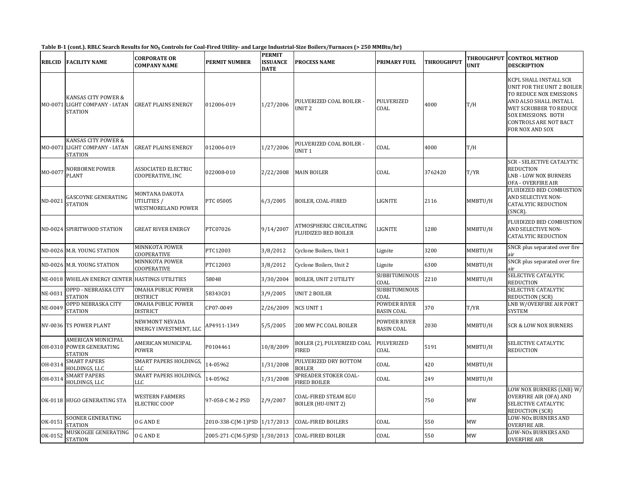Table B-1 (cont.). RBLC Search Results for NO<sub>x</sub> Controls for Coal-Fired Utility- and Large Industrial-Size Boilers/Furnaces (> 250 MMBtu/hr)

| <b>RBLCID</b> | <b>FACILITY NAME</b>                                                   | <b>CORPORATE OR</b><br><b>COMPANY NAME</b>          | <b>PERMIT NUMBER</b>         | <b>PERMIT</b><br><b>ISSUANCE</b><br><b>DATE</b> | <b>PROCESS NAME</b>                                    | <b>PRIMARY FUEL</b>               | <b>THROUGHPUT</b> | <b>THROUGHPUT</b><br><b>UNIT</b> | <b>CONTROL METHOD</b><br><b>DESCRIPTION</b>                                                                                                                                                                   |
|---------------|------------------------------------------------------------------------|-----------------------------------------------------|------------------------------|-------------------------------------------------|--------------------------------------------------------|-----------------------------------|-------------------|----------------------------------|---------------------------------------------------------------------------------------------------------------------------------------------------------------------------------------------------------------|
|               | KANSAS CITY POWER &<br>MO-0071 LIGHT COMPANY - IATAN<br><b>STATION</b> | <b>GREAT PLAINS ENERGY</b>                          | 012006-019                   | 1/27/2006                                       | PULVERIZED COAL BOILER -<br>UNIT <sub>2</sub>          | PULVERIZED<br>COAL                | 4000              | T/H                              | KCPL SHALL INSTALL SCR<br>UNIT FOR THE UNIT 2 BOILER<br>TO REDUCE NOX EMISSIONS<br>AND ALSO SHALL INSTALL<br>WET SCRUBBER TO REDUCE<br>SOX EMISSIONS. BOTH<br><b>CONTROLS ARE NOT BACT</b><br>FOR NOX AND SOX |
|               | KANSAS CITY POWER &<br>MO-0071 LIGHT COMPANY - IATAN<br>STATION        | GREAT PLAINS ENERGY                                 | 012006-019                   | 1/27/2006                                       | PULVERIZED COAL BOILER -<br>UNIT <sub>1</sub>          | COAL                              | 4000              | T/H                              |                                                                                                                                                                                                               |
| MO-0077       | NORBORNE POWER<br>PLANT                                                | ASSOCIATED ELECTRIC<br>COOPERATIVE, INC             | 022008-010                   | 2/22/2008                                       | <b>MAIN BOILER</b>                                     | COAL                              | 3762420           | T/YR                             | <b>SCR - SELECTIVE CATALYTIC</b><br><b>REDUCTION</b><br><b>LNB - LOW NOX BURNERS</b><br>OFA - OVERFIRE AIR                                                                                                    |
| ND-0021       | <b>GASCOYNE GENERATING</b><br>STATION                                  | MONTANA DAKOTA<br>UTILITIES /<br>WESTMORELAND POWER | PTC 05005                    | 6/3/2005                                        | <b>BOILER, COAL-FIRED</b>                              | LIGNITE                           | 2116              | MMBTU/H                          | FLUIDIZED BED COMBUSTION<br>AND SELECTIVE NON-<br><b>CATALYTIC REDUCTION</b><br>(SNCR).                                                                                                                       |
|               | ND-0024 SPIRITWOOD STATION                                             | <b>GREAT RIVER ENERGY</b>                           | PTC07026                     | 9/14/2007                                       | ATMOSPHERIC CIRCULATING<br><b>FLUIDIZED BED BOILER</b> | LIGNITE                           | 1280              | MMBTU/H                          | FLUIDIZED BED COMBUSTION<br>AND SELECTIVE NON-<br><b>CATALYTIC REDUCTION</b>                                                                                                                                  |
|               | ND-0026 M.R. YOUNG STATION                                             | <b>MINNKOTA POWER</b><br>COOPERATIVE                | PTC12003                     | 3/8/2012                                        | Cyclone Boilers, Unit 1                                | Lignite                           | 3200              | MMBTU/H                          | SNCR plus separated over fire<br>air                                                                                                                                                                          |
|               | ND-0026 M.R. YOUNG STATION                                             | <b>MINNKOTA POWER</b><br>COOPERATIVE                | PTC12003                     | 3/8/2012                                        | Cyclone Boilers, Unit 2                                | Lignite                           | 6300              | MMBTU/H                          | SNCR plus separated over fire<br>air                                                                                                                                                                          |
|               | NE-0018 WHELAN ENERGY CENTER HASTINGS UTILITIES                        |                                                     | 58048                        | 3/30/2004                                       | <b>BOILER, UNIT 2 UTILITY</b>                          | SUBBITUMINOUS<br>COAL             | 2210              | MMBTU/H                          | SELECTIVE CATALYTIC<br><b>REDUCTION</b>                                                                                                                                                                       |
| NE-0031       | OPPD - NEBRASKA CITY<br>STATION                                        | <b>OMAHA PUBLIC POWER</b><br><b>DISTRICT</b>        | 58343C01                     | 3/9/2005                                        | <b>UNIT 2 BOILER</b>                                   | <b>SUBBITUMINOUS</b><br>COAL      |                   |                                  | SELECTIVE CATALYTIC<br><b>REDUCTION (SCR)</b>                                                                                                                                                                 |
| NE-0049       | OPPD NEBRASKA CITY<br>STATION                                          | <b>OMAHA PUBLIC POWER</b><br><b>DISTRICT</b>        | CP07-0049                    | 2/26/2009                                       | <b>NCS UNIT 1</b>                                      | POWDER RIVER<br><b>BASIN COAL</b> | 370               | T/YR                             | LNB W/OVERFIRE AIR PORT<br><b>SYSTEM</b>                                                                                                                                                                      |
|               | NV-0036 TS POWER PLANT                                                 | NEWMONT NEVADA<br>ENERGY INVESTMENT, LLC            | AP4911-1349                  | 5/5/2005                                        | 200 MW PC COAL BOILER                                  | POWDER RIVER<br><b>BASIN COAL</b> | 2030              | MMBTU/H                          | SCR & LOW NOX BURNERS                                                                                                                                                                                         |
|               | AMERICAN MUNICIPAL<br>OH-0310 POWER GENERATING<br><b>STATION</b>       | AMERICAN MUNICIPAL<br>POWER                         | P0104461                     | 10/8/2009                                       | BOILER (2), PULVERIZED COAL<br><b>FIRED</b>            | <b>PULVERIZED</b><br>COAL         | 5191              | MMBTU/H                          | SELECTIVE CATALYTIC<br><b>REDUCTION</b>                                                                                                                                                                       |
| OH-0314       | <b>SMART PAPERS</b><br>HOLDINGS, LLC                                   | SMART PAPERS HOLDINGS,<br>LLC                       | 14-05962                     | 1/31/2008                                       | PULVERIZED DRY BOTTOM<br><b>BOILER</b>                 | COAL                              | 420               | MMBTU/H                          |                                                                                                                                                                                                               |
| OH-0314       | <b>SMART PAPERS</b><br>HOLDINGS, LLC                                   | <b>SMART PAPERS HOLDINGS</b><br>LLC                 | 14-05962                     | 1/31/2008                                       | SPREADER STOKER COAL-<br>FIRED BOILER                  | COAL                              | 249               | MMBTU/H                          |                                                                                                                                                                                                               |
|               | OK-0118 HUGO GENERATING STA                                            | <b>WESTERN FARMERS</b><br>ELECTRIC COOP             | 97-058-C M-2 PSD             | 2/9/2007                                        | COAL-FIRED STEAM EGU<br><b>BOILER (HU-UNIT 2)</b>      |                                   | 750               | <b>MW</b>                        | LOW NOX BURNERS (LNB) W/<br><b>OVERFIRE AIR (OFA) AND</b><br>SELECTIVE CATALYTIC<br><b>REDUCTION (SCR)</b>                                                                                                    |
| OK-0151       | SOONER GENERATING<br><b>STATION</b>                                    | O G AND E                                           | 2010-338-C(M-1)PSD 1/17/2013 |                                                 | <b>COAL-FIRED BOILERS</b>                              | COAL                              | 550               | MW                               | <b>LOW-NOx BURNERS AND</b><br>OVERFIRE AIR.                                                                                                                                                                   |
| OK-0152       | MUSKOGEE GENERATING<br><b>STATION</b>                                  | O G AND E                                           | 2005-271-C(M-5)PSD 1/30/2013 |                                                 | <b>COAL-FIRED BOILER</b>                               | COAL                              | 550               | MW                               | <b>LOW-NOx BURNERS AND</b><br><b>OVERFIRE AIR</b>                                                                                                                                                             |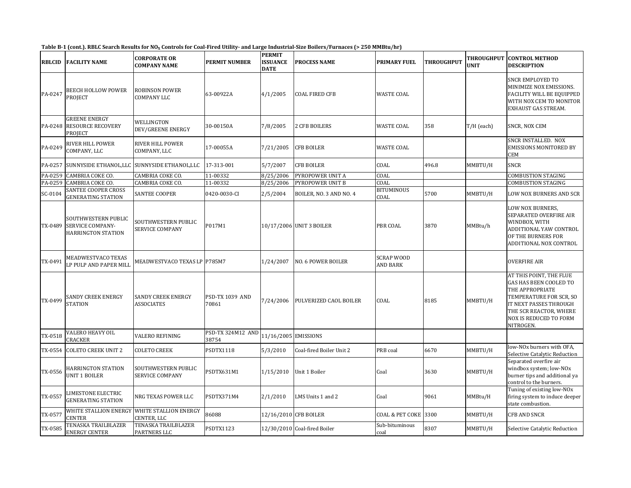| Table B-1 (cont.). RBLC Search Results for NO <sub>x</sub> Controls for Coal-Fired Utility- and Large Industrial-Size Boilers/Furnaces (> 250 MMBtu/hr) |  |  |
|---------------------------------------------------------------------------------------------------------------------------------------------------------|--|--|
|                                                                                                                                                         |  |  |

| RBLCID  | <b>FACILITY NAME</b>                                                        | <b>CORPORATE OR</b><br><b>COMPANY NAME</b>                 | PERMIT NUMBER                   | <b>PERMIT</b><br><b>ISSUANCE</b><br><b>DATE</b> | PROCESS NAME                 | <b>PRIMARY FUEL</b>           | <b>THROUGHPUT</b> | THROUGHPUT<br>UNIT | <b>CONTROL METHOD</b><br><b>DESCRIPTION</b>                                                                                                                                                |
|---------|-----------------------------------------------------------------------------|------------------------------------------------------------|---------------------------------|-------------------------------------------------|------------------------------|-------------------------------|-------------------|--------------------|--------------------------------------------------------------------------------------------------------------------------------------------------------------------------------------------|
| PA-0247 | BEECH HOLLOW POWER<br>PROJECT                                               | <b>ROBINSON POWER</b><br>COMPANY LLC                       | 63-00922A                       | 4/1/2005                                        | COAL FIRED CFB               | <b>WASTE COAL</b>             |                   |                    | SNCR EMPLOYED TO<br>MINIMIZE NOX EMISSIONS.<br><b>FACILITY WILL BE EQUIPPED</b><br>WITH NOX CEM TO MONITOR<br>EXHAUST GAS STREAM.                                                          |
| PA-0248 | <b>GREENE ENERGY</b><br><b>RESOURCE RECOVERY</b><br>PROJECT                 | WELLINGTON<br><b>DEV/GREENE ENERGY</b>                     | 30-00150A                       | 7/8/2005                                        | 2 CFB BOILERS                | <b>WASTE COAL</b>             | 358               | T/H (each)         | SNCR, NOX CEM                                                                                                                                                                              |
| PA-0249 | RIVER HILL POWER<br>COMPANY, LLC                                            | <b>RIVER HILL POWER</b><br>COMPANY, LLC                    | 17-00055A                       | 7/21/2005                                       | <b>CFB BOILER</b>            | <b>WASTE COAL</b>             |                   |                    | SNCR INSTALLED. NOX<br><b>EMISSIONS MONITORED BY</b><br>CEM                                                                                                                                |
| PA-0257 | SUNNYSIDE ETHANOL, LLC                                                      | SUNNYSIDE ETHANOL,LLC                                      | 17-313-001                      | 5/7/2007                                        | <b>CFB BOILER</b>            | COAL                          | 496.8             | MMBTU/H            | SNCR                                                                                                                                                                                       |
| PA-0259 | <b>CAMBRIA COKE CO.</b>                                                     | CAMBRIA COKE CO.                                           | 11-00332                        | 8/25/2006                                       | PYROPOWER UNIT A             | COAL                          |                   |                    | COMBUSTION STAGING                                                                                                                                                                         |
| PA-0259 | CAMBRIA COKE CO.                                                            | CAMBRIA COKE CO.                                           | 11-00332                        | 8/25/2006                                       | PYROPOWER UNIT B             | COAL                          |                   |                    | COMBUSTION STAGING                                                                                                                                                                         |
| SC-0104 | SANTEE COOPER CROSS<br><b>GENERATING STATION</b>                            | <b>SANTEE COOPER</b>                                       | 0420-0030-CI                    | 2/5/2004                                        | BOILER, NO. 3 AND NO. 4      | <b>BITUMINOUS</b><br>COAL     | 5700              | MMBTU/H            | LOW NOX BURNERS AND SCR                                                                                                                                                                    |
| TX-0489 | SOUTHWESTERN PUBLIC<br><b>SERVICE COMPANY-</b><br><b>HARRINGTON STATION</b> | SOUTHWESTERN PUBLIC<br>SERVICE COMPANY                     | P017M1                          |                                                 | 10/17/2006 UNIT 3 BOILER     | <b>PBR COAL</b>               | 3870              | MMBtu/h            | LOW NOX BURNERS,<br>SEPARATED OVERFIRE AIR<br>WINDBOX, WITH<br>ADDITIONAL YAW CONTROL<br>OF THE BURNERS FOR<br>ADDITIONAL NOX CONTROL                                                      |
| TX-0491 | MEADWESTVACO TEXAS<br>LP PULP AND PAPER MILI                                | MEADWESTVACO TEXAS LP P785M7                               |                                 | 1/24/2007                                       | NO. 6 POWER BOILER           | <b>SCRAP WOOD</b><br>AND BARK |                   |                    | <b>OVERFIRE AIR</b>                                                                                                                                                                        |
| TX-0499 | SANDY CREEK ENERGY<br>STATION                                               | <b>SANDY CREEK ENERGY</b><br><b>ASSOCIATES</b>             | <b>PSD-TX 1039 AND</b><br>70861 | 7/24/2006                                       | PULVERIZED CAOL BOILER       | COAL                          | 8185              | MMBTU/H            | AT THIS POINT, THE FLUE<br>GAS HAS BEEN COOLED TO<br>THE APPROPRIATE<br>TEMPERATURE FOR SCR, SO<br>IT NEXT PASSES THROUGH<br>THE SCR REACTOR, WHERE<br>NOX IS REDUCED TO FORM<br>NITROGEN. |
| TX-0518 | <b>VALERO HEAVY OIL</b><br>CRACKER                                          | VALERO REFINING                                            | PSD-TX 324M12 AND<br>38754      | 11/16/2005 EMISSIONS                            |                              |                               |                   |                    |                                                                                                                                                                                            |
| TX-0554 | <b>COLETO CREEK UNIT 2</b>                                                  | COLETO CREEK                                               | PSDTX1118                       | 5/3/2010                                        | Coal-fired Boiler Unit 2     | PRB coal                      | 6670              | MMBTU/H            | low-NOx burners with OFA,<br>Selective Catalytic Reduction                                                                                                                                 |
| TX-0556 | <b>HARRINGTON STATION</b><br><b>UNIT 1 BOILER</b>                           | SOUTHWESTERN PUBLIC<br><b>SERVICE COMPANY</b>              | PSDTX631M1                      | 1/15/2010                                       | Unit 1 Boiler                | Coal                          | 3630              | MMBTU/H            | Separated overfire air<br>windbox system; low-NOx<br>burner tips and additional ya<br>control to the burners.                                                                              |
| TX-0557 | LIMESTONE ELECTRIC<br><b>GENERATING STATION</b>                             | NRG TEXAS POWER LLC                                        | PSDTX371M4                      | 2/1/2010                                        | LMS Units 1 and 2            | Coal                          | 9061              | MMBtu/H            | Tuning of existing low-NO <sub>x</sub><br>firing system to induce deeper<br>state combustion.                                                                                              |
| TX-0577 | <b>CENTER</b>                                                               | WHITE STALLION ENERGY WHITE STALLION ENERGY<br>CENTER, LLC | 86088                           |                                                 | 12/16/2010 CFB BOILER        | <b>COAL &amp; PET COKE</b>    | 3300              | MMBTU/H            | CFB AND SNCR                                                                                                                                                                               |
| TX-0585 | TENASKA TRAILBLAZER<br><b>ENERGY CENTER</b>                                 | TENASKA TRAILBLAZER<br><b>PARTNERS LLC</b>                 | PSDTX1123                       |                                                 | 12/30/2010 Coal-fired Boiler | Sub-bituminous<br>coal        | 8307              | MMBTU/H            | Selective Catalytic Reduction                                                                                                                                                              |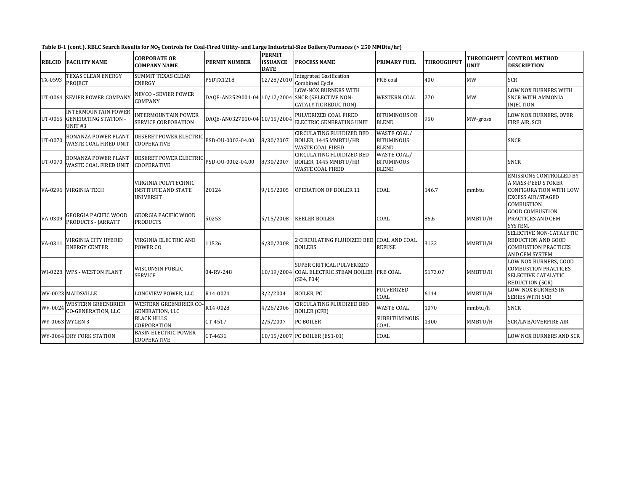| -Table B<br>. RBLC Search Results for NO $_{\rm v}$<br>ا Controls for Coal-Fired Utility- and Large Industrial-Size Boilers/Furnaces ا<br>· 250 MMBtu/hr`<br>fcont. |                      |                                             |                           |                                                 |                    |                     |                   |                            |  |  |
|---------------------------------------------------------------------------------------------------------------------------------------------------------------------|----------------------|---------------------------------------------|---------------------------|-------------------------------------------------|--------------------|---------------------|-------------------|----------------------------|--|--|
| <b>RBLCID</b>                                                                                                                                                       | <b>FACILITY NAME</b> | <b>ICORPORATE OR</b><br><b>COMPANY NAME</b> | ' NUMBER<br><b>PERMIT</b> | <b>PERMIT</b><br><b>ISSUANCE</b><br><b>DATE</b> | CESS NAME<br>PROC. | <b>PRIMARY FUEL</b> | <b>THROUGHPUT</b> | <b>THRO</b><br><b>UNIT</b> |  |  |

| <b>RBLCID</b>   | <b>FACILITY NAME</b>                                                            | CORPORATE OR<br><b>COMPANY NAME</b>                                    | <b>PERMIT NUMBER</b>         | <b>ISSUANCE</b><br><b>DATE</b> | <b>PROCESS NAME</b>                                                                                             | <b>PRIMARY FUEL</b>                                     | <b>THROUGHPUT</b> | <b>UNIT</b> | THROUGHPUT  CONTROL METHOD<br><b>DESCRIPTION</b>                                                                         |
|-----------------|---------------------------------------------------------------------------------|------------------------------------------------------------------------|------------------------------|--------------------------------|-----------------------------------------------------------------------------------------------------------------|---------------------------------------------------------|-------------------|-------------|--------------------------------------------------------------------------------------------------------------------------|
| TX-0593         | TEXAS CLEAN ENERGY<br><b>PROJECT</b>                                            | <b>SUMMIT TEXAS CLEAN</b><br><b>ENERGY</b>                             | PSDTX1218                    | 12/28/201                      | <b>Integrated Gasification</b><br><b>Combined Cycle</b>                                                         | PRB coal                                                | 400               | <b>MW</b>   | <b>SCR</b>                                                                                                               |
|                 | UT-0064 SEVIER POWER COMPANY                                                    | <b>NEVCO - SEVIER POWER</b><br>COMPANY                                 |                              |                                | <b>LOW-NOX BURNERS WITH</b><br>DAQE-AN2529001-04 10/12/2004 SNCR (SELECTIVE NON-<br><b>CATALYTIC REDUCTION)</b> | <b>WESTERN COAL</b>                                     | 270               | MW          | LOW NOX BURNERS WITH<br><b>SNCR WITH AMMONIA</b><br><b>INJECTION</b>                                                     |
| UT-0065         | <b>INTERMOUNTAIN POWER</b><br><b>GENERATING STATION -</b><br>UNIT <sub>#3</sub> | <b>INTERMOUNTAIN POWER</b><br><b>SERVICE CORPORATION</b>               | DAQE-AN0327010-04 10/15/2004 |                                | PULVERIZED COAL FIRED<br>ELECTRIC GENERATING UNIT                                                               | <b>BITUMINOUS OR</b><br><b>BLEND</b>                    | 950               | MW-gross    | LOW NOX BURNERS, OVER<br>FIRE AIR, SCR                                                                                   |
| UT-0070         | <b>BONANZA POWER PLANT</b><br><b>WASTE COAL FIRED UNIT</b>                      | DESERET POWER ELECTRIC PSD-OU-0002-04.00<br><b>COOPERATIVE</b>         |                              | 8/30/2007                      | <b>CIRCULATING FLUIDIZED BED</b><br>BOILER, 1445 MMBTU/HR<br><b>WASTE COAL FIRED</b>                            | WASTE COAL/<br><b>BITUMINOUS</b><br><b>BLEND</b>        |                   |             | <b>SNCR</b>                                                                                                              |
| UT-0070         | <b>BONANZA POWER PLANT</b><br><b>WASTE COAL FIRED UNIT</b>                      | <b>DESERET POWER ELECTRIC</b><br><b>COOPERATIVE</b>                    | PSD-OU-0002-04.00            | 8/30/2007                      | <b>CIRCULATING FLUIDIZED BED</b><br>BOILER, 1445 MMBTU/HR<br><b>WASTE COAL FIRED</b>                            | <b>WASTE COAL/</b><br><b>BITUMINOUS</b><br><b>BLEND</b> |                   |             | <b>SNCR</b>                                                                                                              |
|                 | VA-0296 VIRGINIA TECH                                                           | VIRGINIA POLYTECHNIC<br><b>INSTITUTE AND STATE</b><br><b>UNIVERSIT</b> | 20124                        | 9/15/2005                      | <b>OPERATION OF BOILER 11</b>                                                                                   | COAL                                                    | 146.7             | mmbtu       | <b>EMISSIONS CONTROLLED BY</b><br>A MASS-FEED STOKER<br>CONFIGURATION WITH LOW<br><b>EXCESS AIR/STAGED</b><br>COMBUSTION |
| VA-0309         | <b>GEORGIA PACIFIC WOOD</b><br>PRODUCTS - JARRATT                               | <b>GEORGIA PACIFIC WOOD</b><br><b>PRODUCTS</b>                         | 50253                        | 5/15/2008                      | <b>KEELER BOILER</b>                                                                                            | COAL                                                    | 86.6              | MMBTU/H     | <b>GOOD COMBUSTION</b><br>PRACTICES AND CEM<br>SYSTEM.                                                                   |
| VA-0311         | VIRGINIA CITY HYBRID<br><b>ENERGY CENTER</b>                                    | <b>VIRGINIA ELECTRIC AND</b><br>POWER CO                               | 11526                        | 6/30/2008                      | 2 CIRCULATING FLUIDIZED BED<br><b>BOILERS</b>                                                                   | <b>COAL AND COAL</b><br><b>REFUSE</b>                   | 3132              | MMBTU/H     | SELECTIVE NON-CATALYTIC<br><b>REDUCTION AND GOOD</b><br><b>COMBUSTION PRACTICES</b><br>AND CEM SYSTEM                    |
|                 | WI-0228 WPS - WESTON PLANT                                                      | <b>WISCONSIN PUBLIC</b><br><b>SERVICE</b>                              | 04-RV-248                    |                                | SUPER CRITICAL PULVERIZED<br>10/19/2004 COAL ELECTRIC STEAM BOILER PRB COAL<br>(S04, P04)                       |                                                         | 5173.07           | MMBTU/H     | LOW NOX BURNERS, GOOD<br><b>COMBUSTION PRACTICES</b><br>SELECTIVE CATALYTIC<br><b>REDUCTION (SCR)</b>                    |
|                 | WV-0023 MAIDSVILLE                                                              | LONGVIEW POWER, LLC                                                    | R14-0024                     | 3/2/2004                       | <b>BOILER, PC</b>                                                                                               | <b>PULVERIZED</b><br>COAL                               | 6114              | MMBTU/H     | <b>LOW-NOX BURNERS IN</b><br><b>SERIES WITH SCR</b>                                                                      |
| WV-0024         | <b>WESTERN GREENBRIER</b><br><b>CO-GENERATION, LLC</b>                          | <b>WESTERN GREENBRIER CO-</b><br><b>GENERATION, LLC</b>                | R14-0028                     | 4/26/2006                      | <b>CIRCULATING FLUIDIZED BED</b><br><b>BOILER (CFB)</b>                                                         | <b>WASTE COAL</b>                                       | 1070              | mmbtu/h     | <b>SNCR</b>                                                                                                              |
| WY-0063 WYGEN 3 |                                                                                 | <b>BLACK HILLS</b><br>CORPORATION                                      | CT-4517                      | 2/5/2007                       | PC BOILER                                                                                                       | <b>SUBBITUMINOUS</b><br>COAL                            | 1300              | MMBTU/H     | SCR/LNB/OVERFIRE AIR                                                                                                     |
|                 | WY-0064 DRY FORK STATION                                                        | <b>BASIN ELECTRIC POWER</b><br><b>COOPERATIVE</b>                      | CT-4631                      |                                | 10/15/2007 PC BOILER (ES1-01)                                                                                   | COAL                                                    |                   |             | <b>LOW NOX BURNERS AND SCR</b>                                                                                           |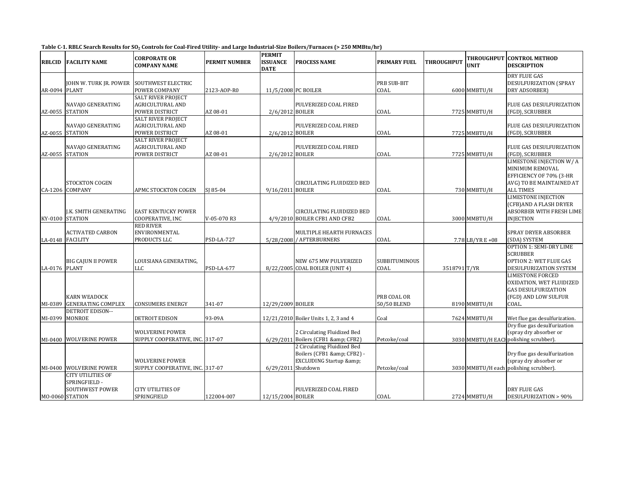| <b>RBLCID</b> | <b>FACILITY NAME</b>                                                            | <b>CORPORATE OR</b><br><b>COMPANY NAME</b>                             | <b>PERMIT NUMBER</b> | <b>PERMIT</b><br><b>ISSUANCE</b><br><b>DATE</b> | <b>PROCESS NAME</b>                                                                      | <b>PRIMARY FUEL</b>          | <b>THROUGHPUT</b> | <b>THROUGHPUT</b><br><b>UNIT</b> | <b>CONTROL METHOD</b><br><b>DESCRIPTION</b>                                                                        |
|---------------|---------------------------------------------------------------------------------|------------------------------------------------------------------------|----------------------|-------------------------------------------------|------------------------------------------------------------------------------------------|------------------------------|-------------------|----------------------------------|--------------------------------------------------------------------------------------------------------------------|
| AR-0094 PLANT | JOHN W. TURK JR. POWER SOUTHWEST ELECTRIC                                       | POWER COMPANY                                                          | 2123-AOP-R0          |                                                 | 11/5/2008 PC BOILER                                                                      | PRB SUB-BIT<br>COAL          |                   | 6000 MMBTU/H                     | <b>DRY FLUE GAS</b><br><b>DESULFURIZATION (SPRAY</b><br>DRY ADSORBER)                                              |
|               | NAVAJO GENERATING<br>AZ-0055 STATION                                            | <b>SALT RIVER PROJECT</b><br>AGRICULTURAL AND<br>POWER DISTRICT        | AZ 08-01             | 2/6/2012 BOILER                                 | PULVERIZED COAL FIRED                                                                    | COAL                         |                   | 7725 MMBTU/H                     | FLUE GAS DESULFURIZATION<br>(FGD), SCRUBBER                                                                        |
| AZ-0055       | NAVAJO GENERATING<br><b>STATION</b>                                             | <b>SALT RIVER PROJECT</b><br><b>AGRICULTURAL AND</b><br>POWER DISTRICT | AZ 08-01             | 2/6/2012 BOILER                                 | PULVERIZED COAL FIRED                                                                    | COAL                         |                   | 7725 MMBTU/H                     | FLUE GAS DESULFURIZATION<br>(FGD), SCRUBBER                                                                        |
|               | NAVAJO GENERATING<br>AZ-0055 STATION                                            | <b>SALT RIVER PROJECT</b><br><b>AGRICULTURAL AND</b><br>POWER DISTRICT | AZ 08-01             | 2/6/2012 BOILER                                 | PULVERIZED COAL FIRED                                                                    | COAL                         |                   | 7725 MMBTU/H                     | <b>FLUE GAS DESULFURIZATION</b><br>(FGD), SCRUBBER                                                                 |
|               | STOCKTON COGEN<br>CA-1206 COMPANY                                               | APMC STOCKTON COGEN                                                    | SJ 85-04             | 9/16/2011 BOILER                                | CIRCULATING FLUIDIZED BED                                                                | COAL                         |                   | 730 MMBTU/H                      | LIMESTONE INJECTION W/ A<br>MINIMUM REMOVAL<br>EFFICIENCY OF 70% (3-HR<br>AVG) TO BE MAINTAINED AT<br>ALL TIMES    |
|               | J.K. SMITH GENERATING<br>KY-0100 STATION                                        | <b>EAST KENTUCKY POWER</b><br>COOPERATIVE, INC                         | V-05-070 R3          |                                                 | <b>CIRCULATING FLUIDIZED BED</b><br>4/9/2010 BOILER CFB1 AND CFB2                        | COAL                         |                   | 3000 MMBTU/H                     | <b>LIMESTONE INJECTION</b><br>(CFB)AND A FLASH DRYER<br>ABSORBER WITH FRESH LIME<br><b>INJECTION</b>               |
|               | ACTIVATED CARBON<br>LA-0148 FACILITY                                            | <b>RED RIVER</b><br>ENVIRONMENTAL<br>PRODUCTS LLC                      | <b>PSD-LA-727</b>    |                                                 | MULTIPLE HEARTH FURNACES<br>5/28/2008 / AFTERBURNERS                                     | COAL                         |                   | 7.78 LB/YR E +08                 | SPRAY DRYER ABSORBER<br>(SDA) SYSTEM                                                                               |
| LA-0176 PLANT | BIG CAJUN II POWER                                                              | LOUISIANA GENERATING,<br>LLC                                           | PSD-LA-677           |                                                 | <b>NEW 675 MW PULVERIZED</b><br>8/22/2005 COAL BOILER (UNIT 4)                           | <b>SUBBITUMINOUS</b><br>COAL | 3518791 T/YR      |                                  | OPTION 1: SEMI-DRY LIME<br><b>SCRUBBER</b><br><b>OPTION 2: WET FLUE GAS</b><br>DESULFURIZATION SYSTEM              |
| MI-0389       | KARN WEADOCK<br><b>GENERATING COMPLEX</b>                                       | <b>CONSUMERS ENERGY</b>                                                | 341-07               | 12/29/2009 BOILER                               |                                                                                          | PRB COAL OR<br>50/50 BLEND   |                   | 8190 MMBTU/H                     | <b>LIMESTONE FORCED</b><br>OXIDATION, WET FLUIDIZED<br><b>GAS DESULFURIZATION</b><br>(FGD) AND LOW SULFUR<br>COAL. |
| MI-0399       | DETROIT EDISON--<br>MONROE                                                      | DETROIT EDISON                                                         | 93-09A               |                                                 | 12/21/2010 Boiler Units 1, 2, 3 and 4                                                    | Coal                         |                   | 7624 MMBTU/H                     | Wet flue gas desulfurization.                                                                                      |
| MI-0400       | <b>WOLVERINE POWER</b>                                                          | <b>WOLVERINE POWER</b><br>SUPPLY COOPERATIVE, INC. 317-07              |                      |                                                 | 2 Circulating Fluidized Bed<br>6/29/2011 Boilers (CFB1 & CFB2)                           | Petcoke/coal                 |                   |                                  | Dry flue gas desulfurization<br>(spray dry absorber or<br>3030 MMBTU/H EACH polishing scrubber).                   |
|               | MI-0400 WOLVERINE POWER                                                         | <b>WOLVERINE POWER</b><br>SUPPLY COOPERATIVE, INC. 317-07              |                      | 6/29/2011 Shutdown                              | 2 Circulating Fluidized Bed<br>Boilers (CFB1 & CFB2) -<br><b>EXCLUDING Startup &amp;</b> | Petcoke/coal                 |                   |                                  | Dry flue gas desulfurization<br>(spray dry absorber or<br>3030 MMBTU/H each polishing scrubber).                   |
|               | CITY UTILITIES OF<br>SPRINGFIELD -<br><b>SOUTHWEST POWER</b><br>MO-0060 STATION | <b>CITY UTILITIES OF</b><br>SPRINGFIELD                                | 122004-007           | 12/15/2004 BOILER                               | PULVERIZED COAL FIRED                                                                    | COAL                         |                   | 2724 MMBTU/H                     | DRY FLUE GAS<br>DESULFURIZATION > 90%                                                                              |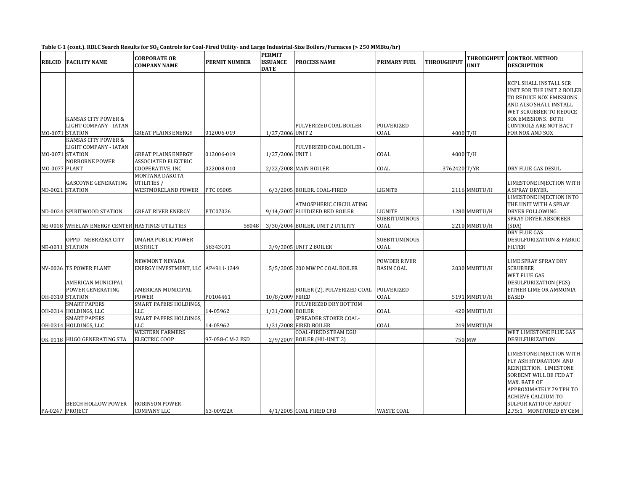#### Table C-1 (cont.). RBLC Search Results for SO $_2$  Controls for Coal-Fired Utility- and Large Industrial-Size Boilers/Furnaces (> 250 MMBtu/hr)

| <b>RBLCID</b>   | <b>FACILITY NAME</b>                                            | <b>CORPORATE OR</b><br><b>COMPANY NAME</b>           | <b>PERMIT NUMBER</b> | <b>PERMIT</b><br><b>ISSUANCE</b><br><b>DATE</b> | <b>PROCESS NAME</b>                                        | <b>PRIMARY FUEL</b>               | THROUGHPUT   | THROUGHPUT<br>UNIT | <b>CONTROL METHOD</b><br><b>DESCRIPTION</b>                                                                                                                                                                                        |
|-----------------|-----------------------------------------------------------------|------------------------------------------------------|----------------------|-------------------------------------------------|------------------------------------------------------------|-----------------------------------|--------------|--------------------|------------------------------------------------------------------------------------------------------------------------------------------------------------------------------------------------------------------------------------|
|                 | KANSAS CITY POWER &<br>LIGHT COMPANY - IATAN<br>MO-0071 STATION | <b>GREAT PLAINS ENERGY</b>                           | 012006-019           | 1/27/2006 UNIT 2                                | PULVERIZED COAL BOILER -                                   | PULVERIZED<br>COAL                | 4000 T/H     |                    | KCPL SHALL INSTALL SCR<br>UNIT FOR THE UNIT 2 BOILER<br>TO REDUCE NOX EMISSIONS<br>AND ALSO SHALL INSTALL<br>WET SCRUBBER TO REDUCE<br><b>SOX EMISSIONS. BOTH</b><br><b>CONTROLS ARE NOT BACT</b><br>FOR NOX AND SOX               |
|                 | KANSAS CITY POWER &<br>LIGHT COMPANY - IATAN<br>MO-0071 STATION | <b>GREAT PLAINS ENERGY</b>                           | 012006-019           | 1/27/2006 UNIT 1                                | PULVERIZED COAL BOILER -                                   | COAL                              | 4000 T/H     |                    |                                                                                                                                                                                                                                    |
| MO-0077 PLANT   | <b>NORBORNE POWER</b>                                           | <b>ASSOCIATED ELECTRIC</b><br>COOPERATIVE, INC       | 022008-010           |                                                 | 2/22/2008 MAIN BOILER                                      | COAL                              | 3762420 T/YR |                    | DRY FLUE GAS DESUL                                                                                                                                                                                                                 |
|                 | GASCOYNE GENERATING<br>ND-0021 STATION                          | MONTANA DAKOTA<br>UTILITIES /<br>WESTMORELAND POWER  | PTC 05005            |                                                 | 6/3/2005 BOILER, COAL-FIRED                                | LIGNITE                           |              | 2116 MMBTU/H       | LIMESTONE INJECTION WITH<br>A SPRAY DRYER.                                                                                                                                                                                         |
|                 | ND-0024 SPIRITWOOD STATION                                      | <b>GREAT RIVER ENERGY</b>                            | PTC07026             |                                                 | ATMOSPHERIC CIRCULATING<br>9/14/2007 FLUIDIZED BED BOILER  | LIGNITE                           |              | 1280 MMBTU/H       | LIMESTONE INJECTION INTO<br>THE UNIT WITH A SPRAY<br>DRYER FOLLOWING.                                                                                                                                                              |
|                 | NE-0018 WHELAN ENERGY CENTER HASTINGS UTILITIES                 |                                                      | 58048                |                                                 | 3/30/2004 BOILER, UNIT 2 UTILITY                           | <b>SUBBITUMINOUS</b><br>COAL      |              | 2210 MMBTU/H       | SPRAY DRYER ABSORBER<br>(SDA)                                                                                                                                                                                                      |
|                 | OPPD - NEBRASKA CITY<br>NE-0031 STATION                         | OMAHA PUBLIC POWER<br><b>DISTRICT</b>                | 58343C01             |                                                 | 3/9/2005 UNIT 2 BOILER                                     | <b>SUBBITUMINOUS</b><br>COAL      |              |                    | DRY FLUE GAS<br><b>DESULFURIZATION &amp; FABRIC</b><br><b>FILTER</b>                                                                                                                                                               |
|                 | NV-0036 TS POWER PLANT                                          | NEWMONT NEVADA<br>ENERGY INVESTMENT, LLC AP4911-1349 |                      |                                                 | 5/5/2005 200 MW PC COAL BOILER                             | POWDER RIVER<br><b>BASIN COAL</b> |              | 2030 MMBTU/H       | LIME SPRAY SPRAY DRY<br><b>SCRUBBER</b>                                                                                                                                                                                            |
|                 | AMERICAN MUNICIPAL<br>POWER GENERATING<br>OH-0310 STATION       | AMERICAN MUNICIPAL<br><b>POWER</b>                   | P0104461             | 10/8/2009 FIRED                                 | BOILER (2), PULVERIZED COAL                                | PULVERIZED<br>COAL                |              | 5191 MMBTU/H       | <b>WET FLUE GAS</b><br><b>DESULFURIZATION (FGS)</b><br>EITHER LIME OR AMMONIA-<br><b>BASED</b>                                                                                                                                     |
|                 | <b>SMART PAPERS</b><br>OH-0314 HOLDINGS, LLC                    | <b>SMART PAPERS HOLDINGS,</b><br>LLC                 | 14-05962             | 1/31/2008 BOILER                                | PULVERIZED DRY BOTTOM                                      | COAL                              |              | 420 MMBTU/H        |                                                                                                                                                                                                                                    |
|                 | <b>SMART PAPERS</b><br>OH-0314 HOLDINGS, LLC                    | <b>SMART PAPERS HOLDINGS,</b><br><b>LLC</b>          | 14-05962             |                                                 | SPREADER STOKER COAL-<br>1/31/2008 FIRED BOILER            | COAL                              |              | 249 MMBTU/H        |                                                                                                                                                                                                                                    |
|                 | OK-0118 HUGO GENERATING STA                                     | <b>WESTERN FARMERS</b><br><b>ELECTRIC COOP</b>       | 97-058-C M-2 PSD     |                                                 | <b>COAL-FIRED STEAM EGU</b><br>2/9/2007 BOILER (HU-UNIT 2) |                                   |              | 750 MW             | WET LIMESTONE FLUE GAS<br><b>DESULFURIZATION</b>                                                                                                                                                                                   |
| PA-0247 PROJECT | BEECH HOLLOW POWER                                              | <b>ROBINSON POWER</b><br><b>COMPANY LLC</b>          | 63-00922A            |                                                 | 4/1/2005 COAL FIRED CFB                                    | <b>WASTE COAL</b>                 |              |                    | LIMESTONE INJECTION WITH<br>FLY ASH HYDRATION AND<br>REINJECTION. LIMESTONE<br>SORBENT WILL BE FED AT<br>MAX. RATE OF<br>APPROXIMATELY 79 TPH TO<br>ACHIEVE CALCIUM-TO-<br><b>SULFUR RATIO OF ABOUT</b><br>2.75:1 MONITORED BY CEM |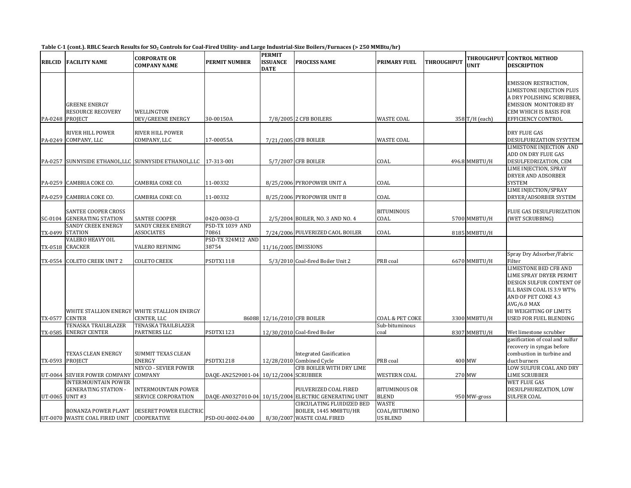|  | Table C-1 (cont.). RBLC Search Results for SO <sub>2</sub> Controls for Coal-Fired Utility- and Large Industrial-Size Boilers/Furnaces (> 250 MMBtu/hr) |  |
|--|---------------------------------------------------------------------------------------------------------------------------------------------------------|--|
|  |                                                                                                                                                         |  |

| <b>RBLCID</b>   | <b>FACILITY NAME</b>                                                    | <b>CORPORATE OR</b><br><b>COMPANY NAME</b>                 | <b>PERMIT NUMBER</b>                  | <b>PERMIT</b><br><b>ISSUANCE</b><br><b>DATE</b> | <b>PROCESS NAME</b>                                                                         | <b>PRIMARY FUEL</b>                       | <b>THROUGHPUT</b> | THROUGHPUT<br><b>UNIT</b> | <b>CONTROL METHOD</b><br><b>DESCRIPTION</b>                                                                                                                                                                |
|-----------------|-------------------------------------------------------------------------|------------------------------------------------------------|---------------------------------------|-------------------------------------------------|---------------------------------------------------------------------------------------------|-------------------------------------------|-------------------|---------------------------|------------------------------------------------------------------------------------------------------------------------------------------------------------------------------------------------------------|
|                 | <b>GREENE ENERGY</b><br><b>RESOURCE RECOVERY</b><br>PA-0248 PROJECT     | WELLINGTON<br>DEV/GREENE ENERGY                            | 30-00150A                             |                                                 | 7/8/2005 2 CFB BOILERS                                                                      | <b>WASTE COAL</b>                         |                   | 358 T/H (each)            | EMISSION RESTRICTION,<br>LIMESTONE INJECTION PLUS<br>A DRY POLISHING SCRUBBER,<br><b>EMISSION MONITORED BY</b><br>CEM WHICH IS BASIS FOR<br>EFFICIENCY CONTROL                                             |
|                 | <b>RIVER HILL POWER</b><br>PA-0249 COMPANY, LLC                         | <b>RIVER HILL POWER</b><br>COMPANY, LLC                    | 17-00055A                             |                                                 | 7/21/2005 CFB BOILER                                                                        | WASTE COAL                                |                   |                           | <b>DRY FLUE GAS</b><br>DESULFURIZATION SYSYTEM                                                                                                                                                             |
| PA-0257         |                                                                         | SUNNYSIDE ETHANOL, LLC SUNNYSIDE ETHANOL, LLC              | 17-313-001                            |                                                 | 5/7/2007 CFB BOILER                                                                         | COAL                                      |                   | 496.8 MMBTU/H             | LIMESTONE INJECTION AND<br>ADD ON DRY FLUE GAS<br>DESULFEDRIZATION, CEM                                                                                                                                    |
|                 | PA-0259 CAMBRIA COKE CO.                                                | CAMBRIA COKE CO.                                           | 11-00332                              |                                                 | 8/25/2006 PYROPOWER UNIT A                                                                  | COAL                                      |                   |                           | LIME INJECTION, SPRAY<br>DRYER AND ADSORBER<br><b>SYSTEM</b><br>LIME INJECTION/SPRAY                                                                                                                       |
|                 | PA-0259 CAMBRIA COKE CO.                                                | CAMBRIA COKE CO.                                           | 11-00332                              |                                                 | 8/25/2006 PYROPOWER UNIT B                                                                  | COAL                                      |                   |                           | DRYER/ADSORBER SYSTEM                                                                                                                                                                                      |
|                 | <b>SANTEE COOPER CROSS</b><br>SC-0104 GENERATING STATION                | <b>SANTEE COOPER</b>                                       | 0420-0030-CI                          |                                                 | 2/5/2004 BOILER, NO. 3 AND NO. 4                                                            | <b>BITUMINOUS</b><br>COAL                 |                   | 5700 MMBTU/H              | FLUE GAS DESULFURIZATION<br>(WET SCRUBBING)                                                                                                                                                                |
|                 | <b>SANDY CREEK ENERGY</b><br>TX-0499 STATION                            | <b>SANDY CREEK ENERGY</b><br><b>ASSOCIATES</b>             | PSD-TX 1039 AND<br>70861              |                                                 | 7/24/2006 PULVERIZED CAOL BOILER                                                            | COAL                                      |                   | 8185 MMBTU/H              |                                                                                                                                                                                                            |
|                 | <b>VALERO HEAVY OIL</b><br>TX-0518 CRACKER                              | <b>VALERO REFINING</b>                                     | PSD-TX 324M12 AND<br>38754            |                                                 | 11/16/2005 EMISSIONS                                                                        |                                           |                   |                           |                                                                                                                                                                                                            |
|                 | TX-0554 COLETO CREEK UNIT 2                                             | <b>COLETO CREEK</b>                                        | PSDTX1118                             |                                                 | 5/3/2010 Coal-fired Boiler Unit 2                                                           | PRB coal                                  |                   | 6670 MMBTU/H              | Spray Dry Adsorber/Fabric<br>Filter                                                                                                                                                                        |
|                 | TX-0577 CENTER                                                          | WHITE STALLION ENERGY WHITE STALLION ENERGY<br>CENTER, LLC |                                       | 86088 12/16/2010 CFB BOILER                     |                                                                                             | COAL & PET COKE                           |                   | 3300 MMBTU/H              | LIMESTONE BED CFB AND<br>LIME SPRAY DRYER PERMIT<br><b>DESIGN SULFUR CONTENT OF</b><br>ILL BASIN COAL IS 3.9 WT%<br>AND OF PET COKE 4.3<br>AVG/6.0 MAX<br>HI WEIGHTING OF LIMITS<br>USED FOR FUEL BLENDING |
|                 | TENASKA TRAILBLAZER<br>TX-0585 ENERGY CENTER                            | <b>TENASKA TRAILBLAZER</b><br>PARTNERS LLC                 | PSDTX1123                             |                                                 |                                                                                             | Sub-bituminous<br>coal                    |                   |                           |                                                                                                                                                                                                            |
|                 | TEXAS CLEAN ENERGY<br>TX-0593 PROJECT                                   | <b>SUMMIT TEXAS CLEAN</b><br><b>ENERGY</b>                 | PSDTX1218                             |                                                 | 12/30/2010 Coal-fired Boiler<br><b>Integrated Gasification</b><br>12/28/2010 Combined Cycle | PRB coal                                  |                   | 8307 MMBTU/H<br>400 MW    | Wet limestone scrubber<br>gasification of coal and sulfur<br>recovery in syngas before<br>combustion in turbine and<br>duct burners                                                                        |
|                 | UT-0064 SEVIER POWER COMPANY                                            | <b>NEVCO - SEVIER POWER</b><br>COMPANY                     | DAQE-AN2529001-04 10/12/2004 SCRUBBER |                                                 | CFB BOILER WITH DRY LIME                                                                    | <b>WESTERN COAL</b>                       |                   | 270 MW                    | LOW SULFUR COAL AND DRY<br>LIME SCRUBBER                                                                                                                                                                   |
| UT-0065 UNIT #3 | <b>INTERMOUNTAIN POWER</b><br><b>GENERATING STATION -</b>               | <b>INTERMOUNTAIN POWER</b><br>SERVICE CORPORATION          |                                       |                                                 | PULVERIZED COAL FIRED<br>DAQE-AN0327010-04 10/15/2004 ELECTRIC GENERATING UNIT              | <b>BITUMINOUS OR</b><br><b>BLEND</b>      |                   | 950 MW-gross              | <b>WET FLUE GAS</b><br>DESULPHURIZATION, LOW<br><b>SULFER COAL</b>                                                                                                                                         |
|                 | <b>BONANZA POWER PLANT</b><br>UT-0070 WASTE COAL FIRED UNIT COOPERATIVE | <b>DESERET POWER ELECTRIC</b>                              | PSD-OU-0002-04.00                     |                                                 | <b>CIRCULATING FLUIDIZED BED</b><br>BOILER, 1445 MMBTU/HR<br>8/30/2007 WASTE COAL FIRED     | WASTE<br>COAL/BITUMINO<br><b>US BLEND</b> |                   |                           |                                                                                                                                                                                                            |